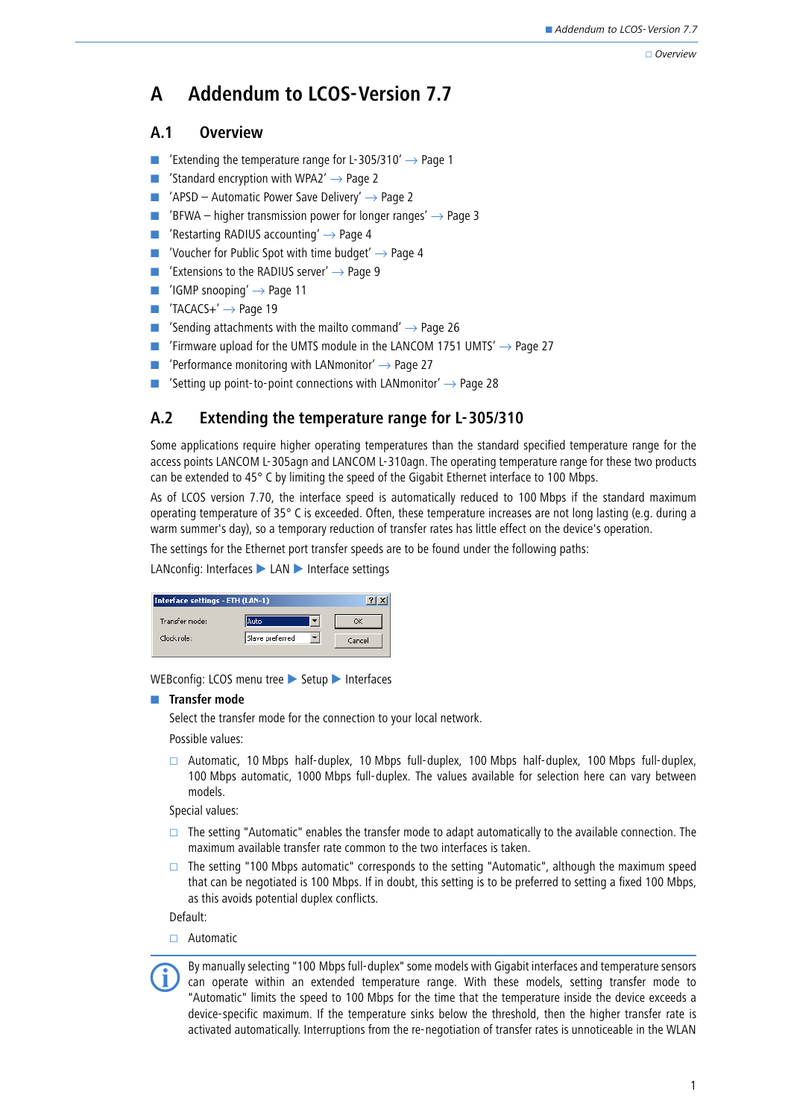#### Overview

# **A Addendum to LCOS-Version 7.7**

## **A.1 Overview**

- -['Extending the temperature range for L-305/310'](#page-0-0)  $\rightarrow$  Page 1
- -['Standard encryption with WPA2'](#page-1-0)  $\rightarrow$  Page 2
- - $'APSD -$  Automatic Power Save Delivery'  $\rightarrow$  Page 2
- -['BFWA – higher transmission power for longer ranges'](#page-2-0)  $\rightarrow$  Page 3
- -['Restarting RADIUS accounting'](#page-3-0)  $\rightarrow$  Page 4
- -['Voucher for Public Spot with time budget'](#page-3-1)  $\rightarrow$  Page 4
- -['Extensions to the RADIUS server'](#page-8-0)  $\rightarrow$  Page 9
- - $'$ IGMP snooping'  $\rightarrow$  Page 11
- - $'TACACS+' \rightarrow Page 19$  $'TACACS+' \rightarrow Page 19$
- -['Sending attachments with the mailto command'](#page-25-0)  $\rightarrow$  Page 26
- -['Firmware upload for the UMTS module in the LANCOM 1751 UMTS'](#page-26-0)  $\rightarrow$  Page 27
- -['Performance monitoring with LANmonitor'](#page-26-1)  $\rightarrow$  Page 27
- -['Setting up point-to-point connections with LANmonitor'](#page-27-0)  $\rightarrow$  Page 28

## <span id="page-0-0"></span>**A.2 Extending the temperature range for L-305/310**

Some applications require higher operating temperatures than the standard specified temperature range for the access points LANCOM L-305agn and LANCOM L-310agn. The operating temperature range for these two products can be extended to 45° C by limiting the speed of the Gigabit Ethernet interface to 100 Mbps.

As of LCOS version 7.70, the interface speed is automatically reduced to 100 Mbps if the standard maximum operating temperature of 35° C is exceeded. Often, these temperature increases are not long lasting (e.g. during a warm summer's day), so a temporary reduction of transfer rates has little effect on the device's operation.

The settings for the Ethernet port transfer speeds are to be found under the following paths:

## LANconfig: Interfaces > LAN > Interface settings

| Interface settings - ETH (LAN-1) |                 |        |
|----------------------------------|-----------------|--------|
| Transfer mode:                   | lAuto           |        |
| Clock role:                      | Slave preferred | Cancel |

WEBconfig: LCOS menu tree > Setup > Interfaces

## **Transfer mode**

Select the transfer mode for the connection to your local network.

Possible values:

 $\Box$  Automatic, 10 Mbps half-duplex, 10 Mbps full-duplex, 100 Mbps half-duplex, 100 Mbps full-duplex, 100 Mbps automatic, 1000 Mbps full-duplex. The values available for selection here can vary between models.

Special values:

- $\Box$  The setting "Automatic" enables the transfer mode to adapt automatically to the available connection. The maximum available transfer rate common to the two interfaces is taken.
- $\Box$  The setting "100 Mbps automatic" corresponds to the setting "Automatic", although the maximum speed that can be negotiated is 100 Mbps. If in doubt, this setting is to be preferred to setting a fixed 100 Mbps, as this avoids potential duplex conflicts.

Default:

□ Automatic



 By manually selecting "100 Mbps full-duplex" some models with Gigabit interfaces and temperature sensors can operate within an extended temperature range. With these models, setting transfer mode to "Automatic" limits the speed to 100 Mbps for the time that the temperature inside the device exceeds a device-specific maximum. If the temperature sinks below the threshold, then the higher transfer rate is activated automatically. Interruptions from the re-negotiation of transfer rates is unnoticeable in the WLAN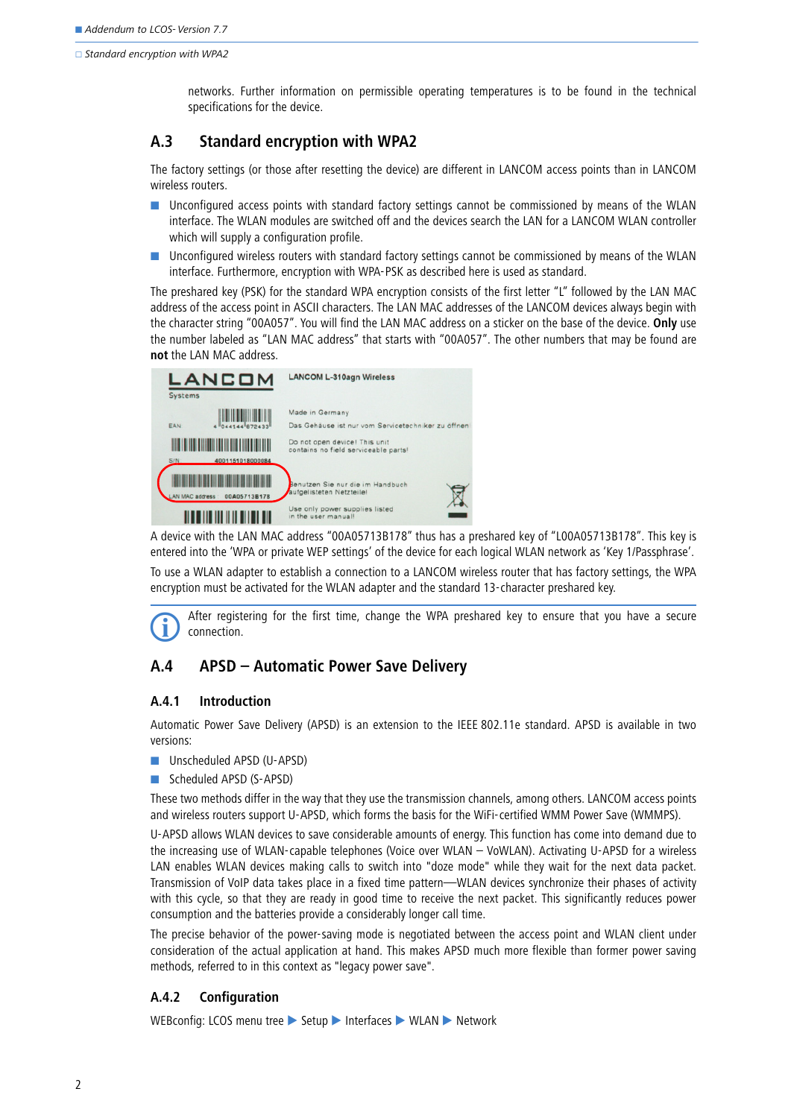networks. Further information on permissible operating temperatures is to be found in the technical specifications for the device.

## <span id="page-1-0"></span>**A.3 Standard encryption with WPA2**

The factory settings (or those after resetting the device) are different in LANCOM access points than in LANCOM wireless routers.

- - Unconfigured access points with standard factory settings cannot be commissioned by means of the WLAN interface. The WLAN modules are switched off and the devices search the LAN for a LANCOM WLAN controller which will supply a configuration profile.
- - Unconfigured wireless routers with standard factory settings cannot be commissioned by means of the WLAN interface. Furthermore, encryption with WPA-PSK as described here is used as standard.

The preshared key (PSK) for the standard WPA encryption consists of the first letter "L" followed by the LAN MAC address of the access point in ASCII characters. The LAN MAC addresses of the LANCOM devices always begin with the character string "00A057". You will find the LAN MAC address on a sticker on the base of the device. **Only** use the number labeled as "LAN MAC address" that starts with "00A057". The other numbers that may be found are **not** the LAN MAC address.



A device with the LAN MAC address "00A05713B178" thus has a preshared key of "L00A05713B178". This key is entered into the 'WPA or private WEP settings' of the device for each logical WLAN network as 'Key 1/Passphrase'.

To use a WLAN adapter to establish a connection to a LANCOM wireless router that has factory settings, the WPA encryption must be activated for the WLAN adapter and the standard 13-character preshared key.

 After registering for the first time, change the WPA preshared key to ensure that you have a secure connection.

## <span id="page-1-1"></span>**A.4 APSD – Automatic Power Save Delivery**

### **A.4.1 Introduction**

Automatic Power Save Delivery (APSD) is an extension to the IEEE 802.11e standard. APSD is available in two versions:

- **Unscheduled APSD (U-APSD)**
- **B** Scheduled APSD (S-APSD)

These two methods differ in the way that they use the transmission channels, among others. LANCOM access points and wireless routers support U-APSD, which forms the basis for the WiFi-certified WMM Power Save (WMMPS).

U-APSD allows WLAN devices to save considerable amounts of energy. This function has come into demand due to the increasing use of WLAN-capable telephones (Voice over WLAN – VoWLAN). Activating U-APSD for a wireless LAN enables WLAN devices making calls to switch into "doze mode" while they wait for the next data packet. Transmission of VoIP data takes place in a fixed time pattern—WLAN devices synchronize their phases of activity with this cycle, so that they are ready in good time to receive the next packet. This significantly reduces power consumption and the batteries provide a considerably longer call time.

The precise behavior of the power-saving mode is negotiated between the access point and WLAN client under consideration of the actual application at hand. This makes APSD much more flexible than former power saving methods, referred to in this context as "legacy power save".

## **A.4.2 Configuration**

WEBconfig: LCOS menu tree Setup Interfaces WILAN Metwork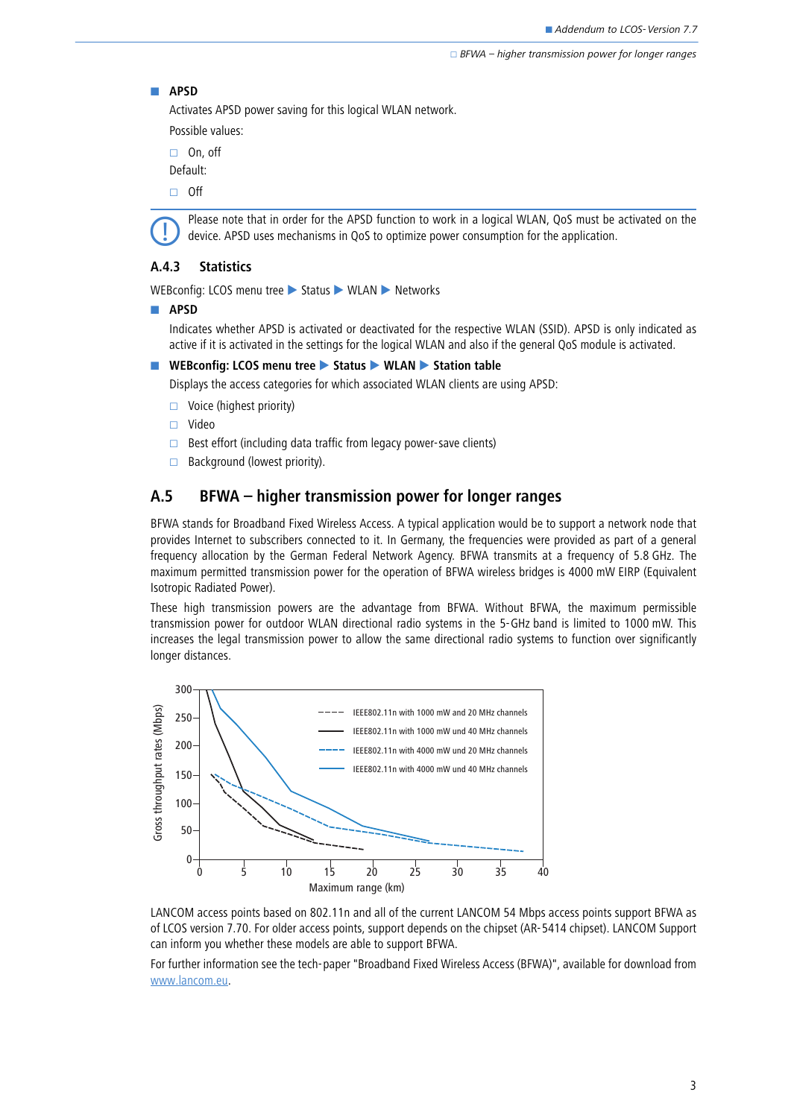#### - **APSD**

Activates APSD power saving for this logical WLAN network.

Possible values:

□ On, off

Default:

 $\Box$  Off



 Please note that in order for the APSD function to work in a logical WLAN, QoS must be activated on the device. APSD uses mechanisms in QoS to optimize power consumption for the application.

### **A.4.3 Statistics**

WEBconfig: LCOS menu tree Status WLAN Networks

- **APSD**

Indicates whether APSD is activated or deactivated for the respective WLAN (SSID). APSD is only indicated as active if it is activated in the settings for the logical WLAN and also if the general QoS module is activated.

■ WEBconfig: LCOS menu tree ▶ Status ▶ WLAN ▶ Station table

Displays the access categories for which associated WLAN clients are using APSD:

- $\Box$  Voice (highest priority)
- Video
- $\Box$  Best effort (including data traffic from legacy power-save clients)
- $\Box$  Background (lowest priority).

## <span id="page-2-0"></span>**A.5 BFWA – higher transmission power for longer ranges**

BFWA stands for Broadband Fixed Wireless Access. A typical application would be to support a network node that provides Internet to subscribers connected to it. In Germany, the frequencies were provided as part of a general frequency allocation by the German Federal Network Agency. BFWA transmits at a frequency of 5.8 GHz. The maximum permitted transmission power for the operation of BFWA wireless bridges is 4000 mW EIRP (Equivalent Isotropic Radiated Power).

These high transmission powers are the advantage from BFWA. Without BFWA, the maximum permissible transmission power for outdoor WLAN directional radio systems in the 5-GHz band is limited to 1000 mW. This increases the legal transmission power to allow the same directional radio systems to function over significantly longer distances.



LANCOM access points based on 802.11n and all of the current LANCOM 54 Mbps access points support BFWA as of LCOS version 7.70. For older access points, support depends on the chipset (AR-5414 chipset). LANCOM Support can inform you whether these models are able to support BFWA.

For further information see the tech-paper "Broadband Fixed Wireless Access (BFWA)", available for download from www.lancom.eu.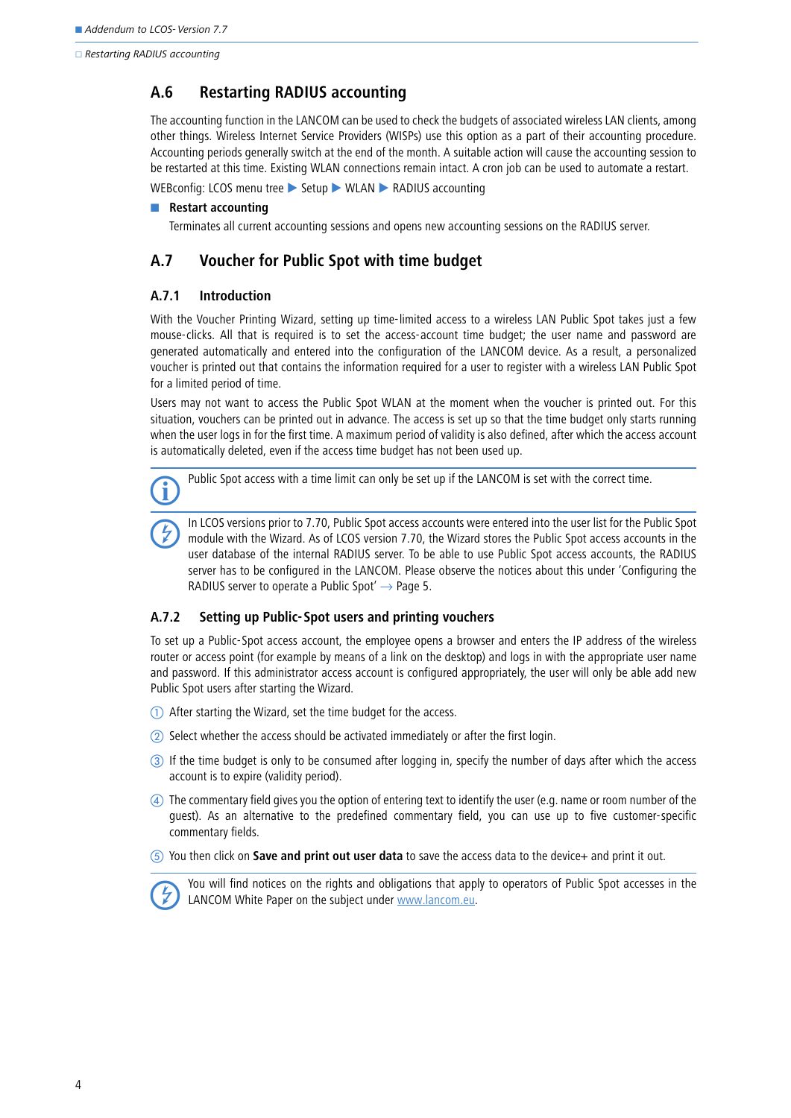□ Restarting RADIUS accounting

## <span id="page-3-0"></span>**A.6 Restarting RADIUS accounting**

The accounting function in the LANCOM can be used to check the budgets of associated wireless LAN clients, among other things. Wireless Internet Service Providers (WISPs) use this option as a part of their accounting procedure. Accounting periods generally switch at the end of the month. A suitable action will cause the accounting session to be restarted at this time. Existing WLAN connections remain intact. A cron job can be used to automate a restart.

WEBconfig: LCOS menu tree Setup WILAN RADIUS accounting

### **Restart accounting**

Terminates all current accounting sessions and opens new accounting sessions on the RADIUS server.

## <span id="page-3-1"></span>**A.7 Voucher for Public Spot with time budget**

### **A.7.1 Introduction**

With the Voucher Printing Wizard, setting up time-limited access to a wireless LAN Public Spot takes just a few mouse-clicks. All that is required is to set the access-account time budget; the user name and password are generated automatically and entered into the configuration of the LANCOM device. As a result, a personalized voucher is printed out that contains the information required for a user to register with a wireless LAN Public Spot for a limited period of time.

Users may not want to access the Public Spot WLAN at the moment when the voucher is printed out. For this situation, vouchers can be printed out in advance. The access is set up so that the time budget only starts running when the user logs in for the first time. A maximum period of validity is also defined, after which the access account is automatically deleted, even if the access time budget has not been used up.

Public Spot access with a time limit can only be set up if the LANCOM is set with the correct time.

 In LCOS versions prior to 7.70, Public Spot access accounts were entered into the user list for the Public Spot module with the Wizard. As of LCOS version 7.70, the Wizard stores the Public Spot access accounts in the user database of the internal RADIUS server. To be able to use Public Spot access accounts, the RADIUS server has to be configured in the LANCOM. Please observe the notices about this under ['Configuring the](#page-4-0) [RADIUS server to operate a Public Spot'](#page-4-0)  $\rightarrow$  Page 5.

### **A.7.2 Setting up Public-Spot users and printing vouchers**

To set up a Public-Spot access account, the employee opens a browser and enters the IP address of the wireless router or access point (for example by means of a link on the desktop) and logs in with the appropriate user name and password. If this administrator access account is configured appropriately, the user will only be able add new Public Spot users after starting the Wizard.

- After starting the Wizard, set the time budget for the access.
- (2) Select whether the access should be activated immediately or after the first login.
- If the time budget is only to be consumed after logging in, specify the number of days after which the access account is to expire (validity period).
- The commentary field gives you the option of entering text to identify the user (e.g. name or room number of the guest). As an alternative to the predefined commentary field, you can use up to five customer-specific commentary fields.
- You then click on **Save and print out user data** to save the access data to the device+ and print it out.

 You will find notices on the rights and obligations that apply to operators of Public Spot accesses in the LANCOM White Paper on the subject under [www.lancom.eu.](http://www.lancom.de)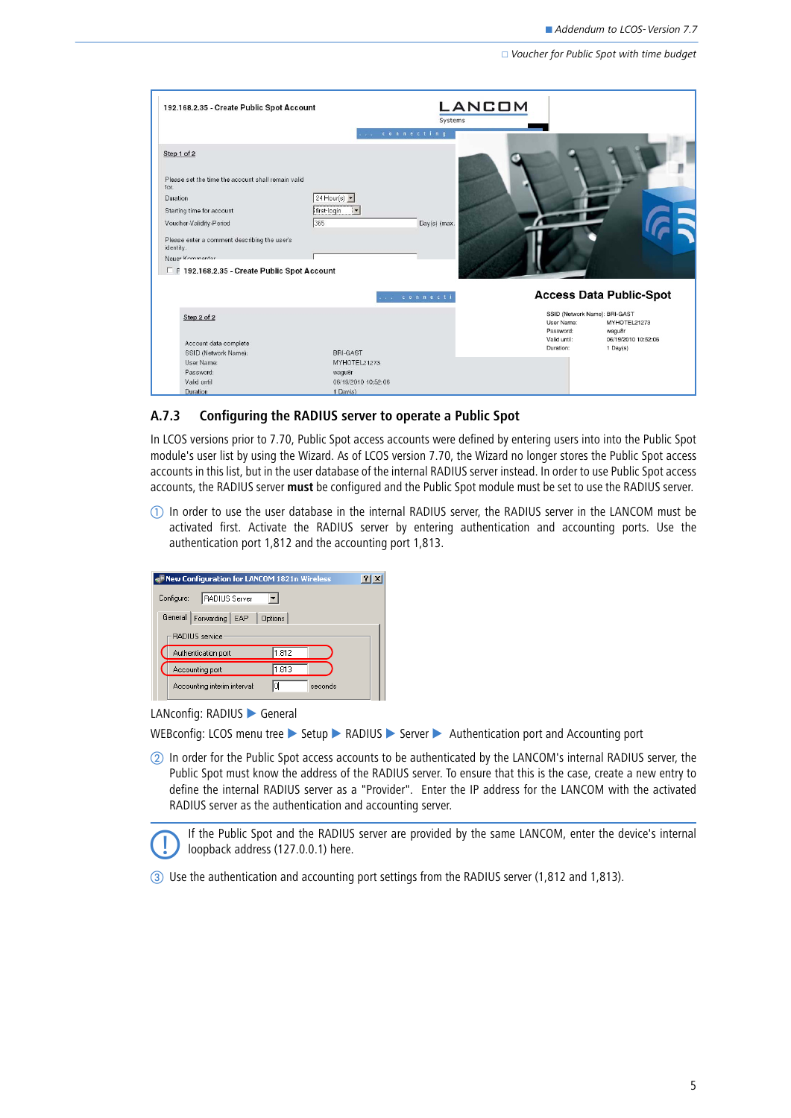$\Box$  Voucher for Public Spot with time budget

| 192.168.2.35 - Create Public Spot Account                                                                                                                                                                                                                                      |                                                                     | <b>LANCOM</b><br>Systems               |                                                                                                                                              |
|--------------------------------------------------------------------------------------------------------------------------------------------------------------------------------------------------------------------------------------------------------------------------------|---------------------------------------------------------------------|----------------------------------------|----------------------------------------------------------------------------------------------------------------------------------------------|
| Step 1 of 2<br>Please set the time the account shall remain valid<br>for.<br>Duration<br>Starting time for account<br>Voucher-Validity-Period<br>Please enter a comment describing the user's<br>identity.<br>Neuer Kommentar<br>F F 192.168.2.35 - Create Public Spot Account | connecting<br>24 Hour(s) $\blacktriangledown$<br>first-login<br>365 | Day(s) (max.                           |                                                                                                                                              |
| Step 2 of 2<br>Account data complete<br>SSID (Network Name):                                                                                                                                                                                                                   | connecti<br>BRI-GAST                                                | Password:<br>Valid until:<br>Duration: | <b>Access Data Public-Spot</b><br>SSID (Network Name): BRI-GAST<br>User Name:<br>MYHOTEL21273<br>wagu8r<br>06/19/2010 10:52:06<br>$1$ Day(s) |
| User Name:<br>Password:<br>Valid until<br>Duration                                                                                                                                                                                                                             | MYHOTEL21273<br>wagu8r<br>06/19/2010 10:52:06<br>$1$ Day(s)         |                                        |                                                                                                                                              |

### <span id="page-4-0"></span>**A.7.3 Configuring the RADIUS server to operate a Public Spot**

In LCOS versions prior to 7.70, Public Spot access accounts were defined by entering users into into the Public Spot module's user list by using the Wizard. As of LCOS version 7.70, the Wizard no longer stores the Public Spot access accounts in this list, but in the user database of the internal RADIUS server instead. In order to use Public Spot access accounts, the RADIUS server **must** be configured and the Public Spot module must be set to use the RADIUS server.

 $\mathbb D$  In order to use the user database in the internal RADIUS server, the RADIUS server in the LANCOM must be activated first. Activate the RADIUS server by entering authentication and accounting ports. Use the authentication port 1,812 and the accounting port 1,813.

| New Configuration for LANCOM 1821n Wireless |         |
|---------------------------------------------|---------|
| RADIUS Server<br>Configure:                 |         |
| General Forwarding EAP   Options            |         |
| - RADIUS service                            |         |
| 1.812<br>Authentication port:               |         |
| 1.813<br>Accounting port:                   |         |
| Id<br>Accounting interim interval:          | seconds |
|                                             |         |

LANconfig: RADIUS General

WEBconfig: LCOS menu tree  $\triangleright$  Setup  $\triangleright$  RADIUS  $\triangleright$  Server  $\triangleright$  Authentication port and Accounting port

 In order for the Public Spot access accounts to be authenticated by the LANCOM's internal RADIUS server, the Public Spot must know the address of the RADIUS server. To ensure that this is the case, create a new entry to define the internal RADIUS server as a "Provider". Enter the IP address for the LANCOM with the activated RADIUS server as the authentication and accounting server.

 If the Public Spot and the RADIUS server are provided by the same LANCOM, enter the device's internal loopback address (127.0.0.1) here.

Use the authentication and accounting port settings from the RADIUS server (1,812 and 1,813).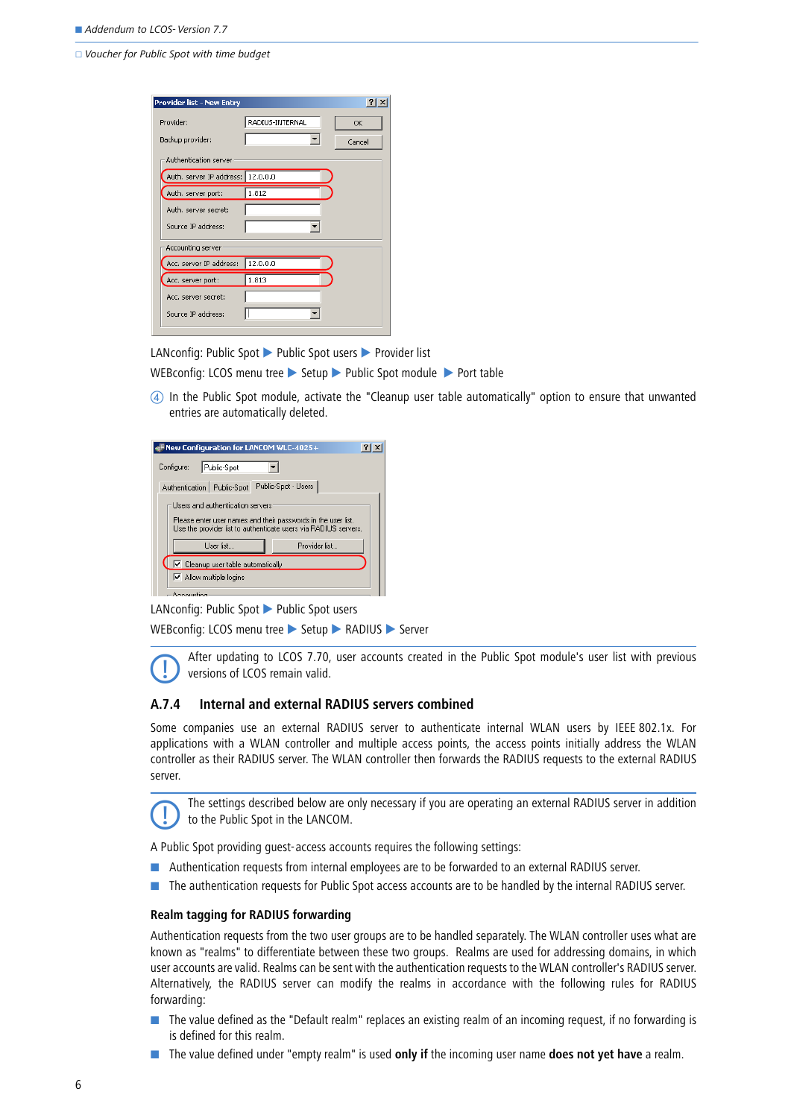□ Voucher for Public Spot with time budget

| Provider list - New Entry         |                 | $ ?  \times$ |
|-----------------------------------|-----------------|--------------|
| Provider:<br>Backup provider:     | RADIUS-INTERNAL | OK<br>Cancel |
| Authentication server             |                 |              |
| Auth. server IP address: 12.0.0.0 |                 |              |
| Auth. server port:                | 1.812           |              |
| Auth, server secret:              |                 |              |
| Source IP address:                |                 |              |
| Accounting server                 |                 |              |
| Acc. server IP address:           | 12.0.0.0        |              |
| Acc. server port:                 | 1.813           |              |
| Acc. server secret:               |                 |              |
| Source IP address:                |                 |              |
|                                   |                 |              |

LANconfig: Public Spot ▶ Public Spot users ▶ Provider list

WEBconfig: LCOS menu tree  $\triangleright$  Setup  $\triangleright$  Public Spot module  $\triangleright$  Port table

 In the Public Spot module, activate the "Cleanup user table automatically" option to ensure that unwanted entries are automatically deleted.

| $\blacksquare$ New Configuration for LANCOM WLC-4025+                                                                            |  |  |  |
|----------------------------------------------------------------------------------------------------------------------------------|--|--|--|
| Configure:<br>Public-Spot                                                                                                        |  |  |  |
| Public-Spot - Users<br>Authentication   Public-Spot                                                                              |  |  |  |
| Users and authentication servers                                                                                                 |  |  |  |
| Please enter user names and their passwords in the user list.<br>Use the provider list to authenticate users via RADIUS servers. |  |  |  |
| User list<br>Provider list                                                                                                       |  |  |  |
| $\triangledown$ Cleanup user table automatically                                                                                 |  |  |  |
| $\triangleright$ Allow multiple logins                                                                                           |  |  |  |
| $-$ Announction                                                                                                                  |  |  |  |

LANconfig: Public Spot ▶ Public Spot users

WEBconfig: LCOS menu tree ▶ Setup ▶ RADIUS ▶ Server



 After updating to LCOS 7.70, user accounts created in the Public Spot module's user list with previous versions of LCOS remain valid.

### **A.7.4 Internal and external RADIUS servers combined**

Some companies use an external RADIUS server to authenticate internal WLAN users by IEEE 802.1x. For applications with a WLAN controller and multiple access points, the access points initially address the WLAN controller as their RADIUS server. The WLAN controller then forwards the RADIUS requests to the external RADIUS server.



 The settings described below are only necessary if you are operating an external RADIUS server in addition to the Public Spot in the LANCOM.

A Public Spot providing guest-access accounts requires the following settings:

- Authentication requests from internal employees are to be forwarded to an external RADIUS server.
- **The authentication requests for Public Spot access accounts are to be handled by the internal RADIUS server.**

### **Realm tagging for RADIUS forwarding**

Authentication requests from the two user groups are to be handled separately. The WLAN controller uses what are known as "realms" to differentiate between these two groups. Realms are used for addressing domains, in which user accounts are valid. Realms can be sent with the authentication requests to the WLAN controller's RADIUS server. Alternatively, the RADIUS server can modify the realms in accordance with the following rules for RADIUS forwarding:

- **The value defined as the "Default realm" replaces an existing realm of an incoming request, if no forwarding is** is defined for this realm.
- The value defined under "empty realm" is used **only if** the incoming user name **does not yet have** a realm.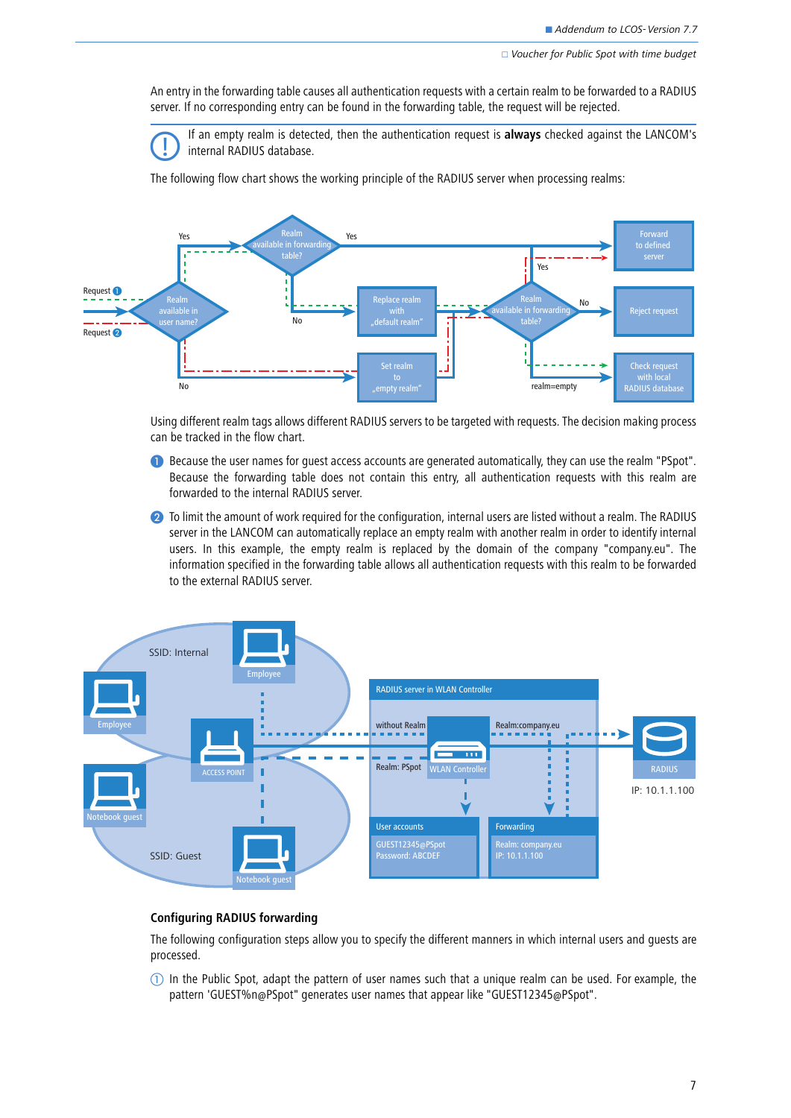$\Box$  Voucher for Public Spot with time budget

An entry in the forwarding table causes all authentication requests with a certain realm to be forwarded to a RADIUS server. If no corresponding entry can be found in the forwarding table, the request will be rejected.



 If an empty realm is detected, then the authentication request is **always** checked against the LANCOM's internal RADIUS database.

The following flow chart shows the working principle of the RADIUS server when processing realms:



Using different realm tags allows different RADIUS servers to be targeted with requests. The decision making process can be tracked in the flow chart.

- **B** Because the user names for quest access accounts are generated automatically, they can use the realm "PSpot". Because the forwarding table does not contain this entry, all authentication requests with this realm are forwarded to the internal RADIUS server.
- **2** To limit the amount of work required for the configuration, internal users are listed without a realm. The RADIUS server in the LANCOM can automatically replace an empty realm with another realm in order to identify internal users. In this example, the empty realm is replaced by the domain of the company "company.eu". The information specified in the forwarding table allows all authentication requests with this realm to be forwarded to the external RADIUS server.



#### **Configuring RADIUS forwarding**

The following configuration steps allow you to specify the different manners in which internal users and guests are processed.

 $\mathbb D$  In the Public Spot, adapt the pattern of user names such that a unique realm can be used. For example, the pattern 'GUEST%n@PSpot" generates user names that appear like "GUEST12345@PSpot".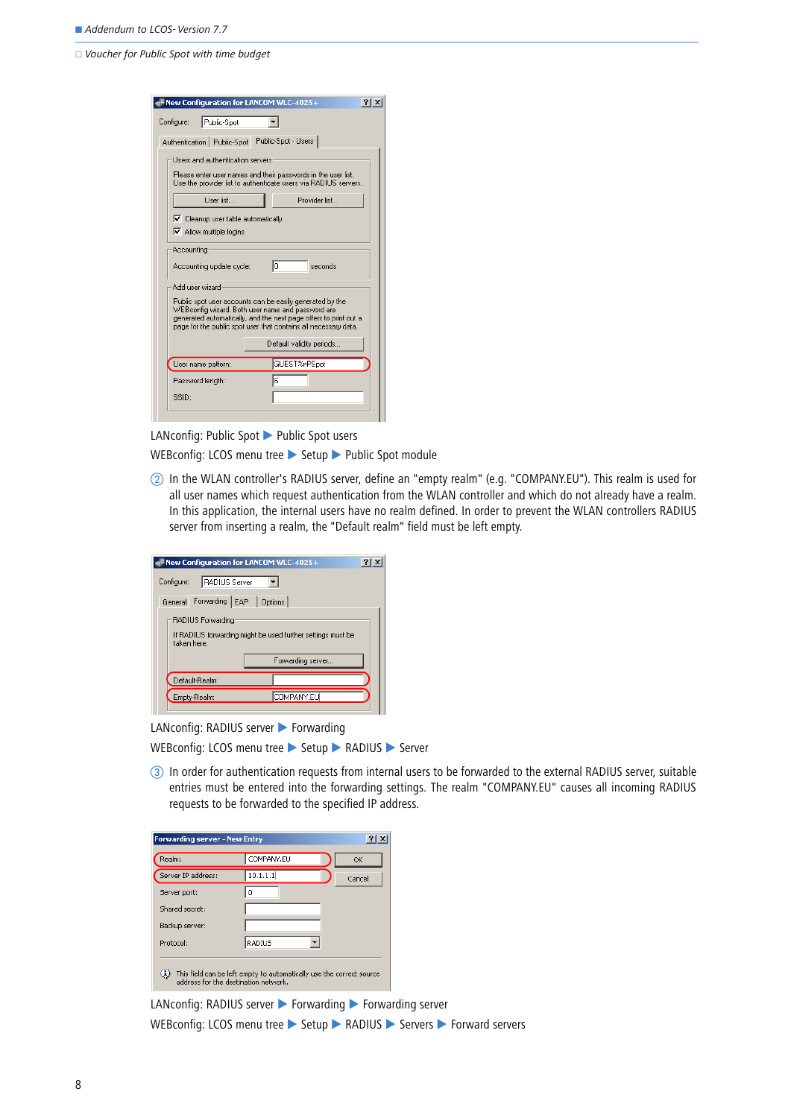$\Box$  Voucher for Public Spot with time budget

| New Configuration for LANCOM WLC-4025+                                                                                                                                                                                                               |  |  |
|------------------------------------------------------------------------------------------------------------------------------------------------------------------------------------------------------------------------------------------------------|--|--|
| Public-Spot<br>Configure:                                                                                                                                                                                                                            |  |  |
| Authentication   Public-Spot   Public-Spot - Users                                                                                                                                                                                                   |  |  |
| Users and authentication servers                                                                                                                                                                                                                     |  |  |
| Please enter user names and their passwords in the user list.<br>Use the provider list to authenticate users via RADIUS servers.                                                                                                                     |  |  |
| Haer list<br>Provider list                                                                                                                                                                                                                           |  |  |
| $\triangledown$ Cleanup user table automatically                                                                                                                                                                                                     |  |  |
| $\triangleright$ Allow multiple logins                                                                                                                                                                                                               |  |  |
| Accounting:                                                                                                                                                                                                                                          |  |  |
| lo.<br>seconds<br>Accounting update cycle:                                                                                                                                                                                                           |  |  |
| Add user wizard-                                                                                                                                                                                                                                     |  |  |
| Public spot user accounts can be easily generated by the<br>WEBconfig wizard. Both user name and password are<br>generated automatically, and the next page offers to print out a<br>page for the public spot user that contains all necessary data. |  |  |
| Default validity periods                                                                                                                                                                                                                             |  |  |
| GUEST%nPSpot<br>User name pattern:                                                                                                                                                                                                                   |  |  |
| ß<br>Password length:                                                                                                                                                                                                                                |  |  |
| SSID:                                                                                                                                                                                                                                                |  |  |
|                                                                                                                                                                                                                                                      |  |  |

LANconfig: Public Spot ▶ Public Spot users

WEBconfig: LCOS menu tree > Setup > Public Spot module

2 In the WLAN controller's RADIUS server, define an "empty realm" (e.g. "COMPANY.EU"). This realm is used for all user names which request authentication from the WLAN controller and which do not already have a realm. In this application, the internal users have no realm defined. In order to prevent the WLAN controllers RADIUS server from inserting a realm, the "Default realm" field must be left empty.

| New Configuration for LANCOM WLC-4025+                                                          |  |
|-------------------------------------------------------------------------------------------------|--|
| Configure:<br><b>RADIUS Server</b>                                                              |  |
| General Forwarding EAP<br>$\vert$ Options                                                       |  |
| RADIUS Forwarding<br>If RADIUS forwarding might be used further settings must be<br>taken here. |  |
| Forwarding server                                                                               |  |
| Default-Realm:                                                                                  |  |
| COMPANY.EU<br>Empty-Realm:                                                                      |  |
|                                                                                                 |  |

LANconfig: RADIUS server Forwarding

| WEBconfig: LCOS menu tree ▶ Setup ▶ RADIUS ▶ Server |  |  |  |
|-----------------------------------------------------|--|--|--|
|-----------------------------------------------------|--|--|--|

 In order for authentication requests from internal users to be forwarded to the external RADIUS server, suitable entries must be entered into the forwarding settings. The realm "COMPANY.EU" causes all incoming RADIUS requests to be forwarded to the specified IP address.

| Realm:             | COMPANY.EU                                                                                                   | OK     |
|--------------------|--------------------------------------------------------------------------------------------------------------|--------|
| Server IP address: | 10.1.1.1                                                                                                     | Cancel |
| Server port:       | 0                                                                                                            |        |
| Shared secret:     |                                                                                                              |        |
| Backup server:     |                                                                                                              |        |
| Protocol:          | RADIUS                                                                                                       |        |
| ٥                  | This field can be left empty to automatically use the correct source<br>address for the destination network. |        |

LANconfig: RADIUS server > Forwarding > Forwarding server WEBconfig: LCOS menu tree > Setup > RADIUS > Servers > Forward servers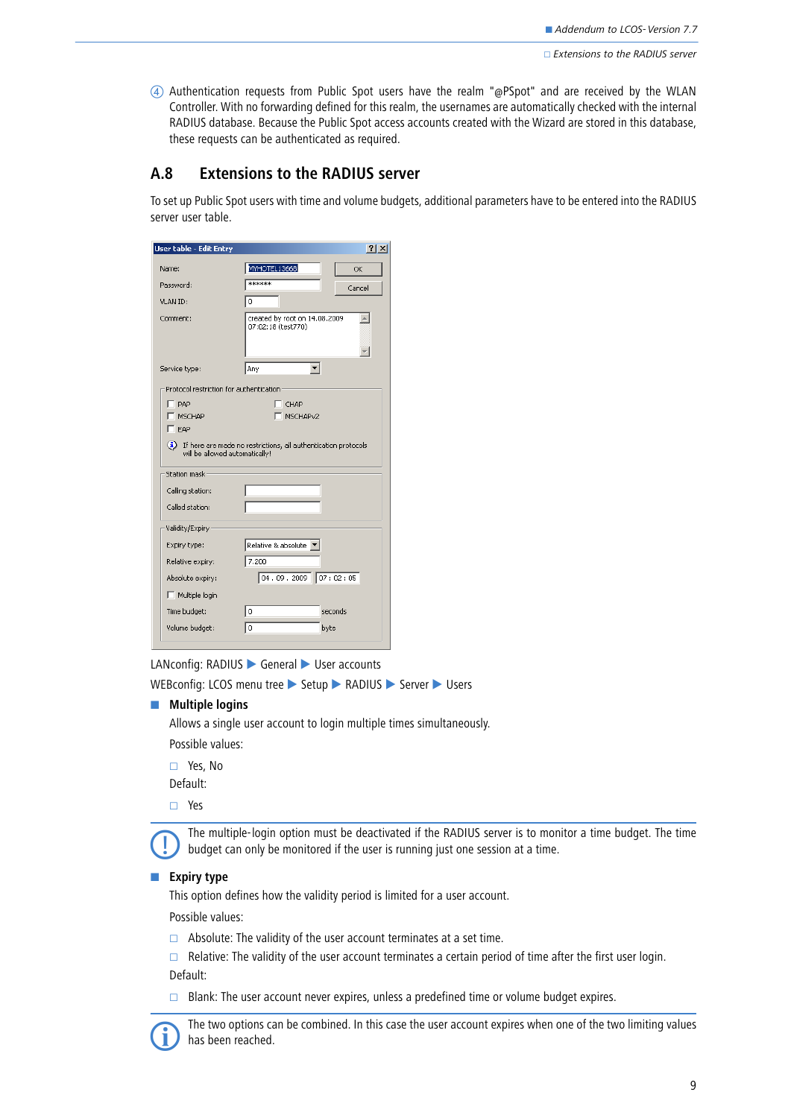Authentication requests from Public Spot users have the realm "@PSpot" and are received by the WLAN Controller. With no forwarding defined for this realm, the usernames are automatically checked with the internal RADIUS database. Because the Public Spot access accounts created with the Wizard are stored in this database, these requests can be authenticated as required.

## <span id="page-8-0"></span>**A.8 Extensions to the RADIUS server**

To set up Public Spot users with time and volume budgets, additional parameters have to be entered into the RADIUS server user table.

| <b>User table - Edit Entry</b>                 | ? X                                                                |
|------------------------------------------------|--------------------------------------------------------------------|
| Name:                                          | MYHOTEL13668<br>OK                                                 |
| Password:                                      | ******<br>Cancel                                                   |
| VLAN ID:                                       | 0                                                                  |
| Comment:                                       | created by root on 14.08.2009<br>07:02:18 (test770)                |
| Service type:                                  | Any                                                                |
| Protocol restriction for authentication        |                                                                    |
| PAP <sup></sup><br>ı                           | CHAP                                                               |
| <b>MSCHAP</b>                                  | MSCHAP <sub>v2</sub><br>г                                          |
| $\overline{\phantom{a}}$ EAP                   |                                                                    |
| will be allowed automatically!<br>Station mask | (i) If here are made no restrictions, all authentication protocols |
| Calling station:                               |                                                                    |
| Called station:                                |                                                                    |
|                                                |                                                                    |
| Validity/Expiry                                |                                                                    |
| Expiry type:                                   | Relative & absolute                                                |
| Relative expiry:                               | 7.200                                                              |
| Absolute expiry:                               | $ 04.09.2009 $ 07: 02:05                                           |
| Multiple login                                 |                                                                    |
| Time budget:                                   | $\boldsymbol{0}$<br>seconds                                        |
| Volume budget:                                 | $\mathbf 0$<br>byte                                                |

LANconfig: RADIUS General Vuser accounts

WEBconfig: LCOS menu tree Setup RADIUS Server Users

### $\blacksquare$  Multiple logins

Allows a single user account to login multiple times simultaneously.

Possible values:

Yes, No

Default:

Yes

 The multiple-login option must be deactivated if the RADIUS server is to monitor a time budget. The time budget can only be monitored if the user is running just one session at a time.

### **Expiry type**

This option defines how the validity period is limited for a user account.

Possible values:

 $\Box$  Absolute: The validity of the user account terminates at a set time.

 $\Box$  Relative: The validity of the user account terminates a certain period of time after the first user login. Default:

 $\Box$  Blank: The user account never expires, unless a predefined time or volume budget expires.



 The two options can be combined. In this case the user account expires when one of the two limiting values has been reached.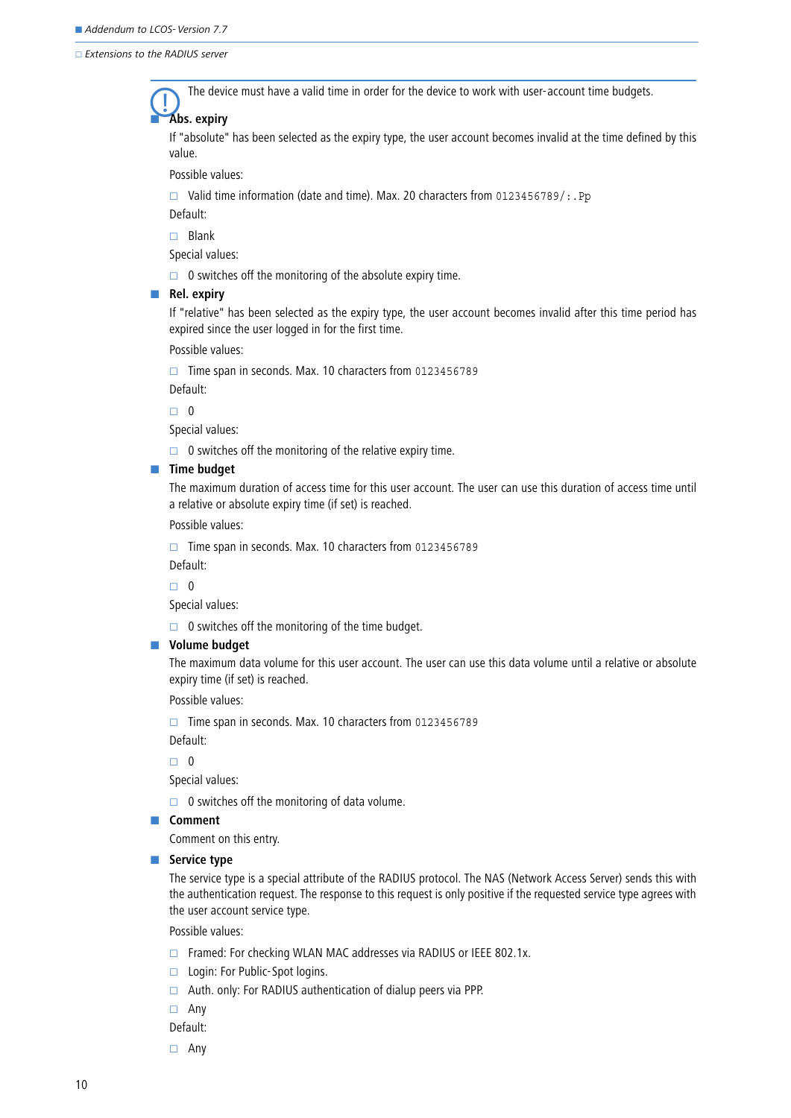Extensions to the RADIUS server

-

The device must have a valid time in order for the device to work with user-account time budgets.

### **Abs. expiry**

If "absolute" has been selected as the expiry type, the user account becomes invalid at the time defined by this value.

Possible values:

 $\square$  Valid time information (date and time). Max. 20 characters from 0123456789/:. Pp

Default:

 $\Box$  Blank

Special values:

 $\Box$  0 switches off the monitoring of the absolute expiry time.

#### **Rel. expiry**

If "relative" has been selected as the expiry type, the user account becomes invalid after this time period has expired since the user logged in for the first time.

Possible values:

 $\Box$  Time span in seconds. Max. 10 characters from 0123456789

Default:

 $\Box$  0

Special values:

 $\Box$  0 switches off the monitoring of the relative expiry time.

#### $\blacksquare$  Time budget

The maximum duration of access time for this user account. The user can use this duration of access time until a relative or absolute expiry time (if set) is reached.

Possible values:

 $\Box$  Time span in seconds. Max. 10 characters from 0123456789 Default:

 $\Box$  0

Special values:

 $\Box$  0 switches off the monitoring of the time budget.

#### $\blacksquare$  Volume budget

The maximum data volume for this user account. The user can use this data volume until a relative or absolute expiry time (if set) is reached.

Possible values:

 $\Box$  Time span in seconds. Max. 10 characters from 0123456789

Default:

 $\Box$  0

Special values:

 $\Box$  0 switches off the monitoring of data volume.

#### **Exercise Comment**

Comment on this entry.

#### **Exervice type**

The service type is a special attribute of the RADIUS protocol. The NAS (Network Access Server) sends this with the authentication request. The response to this request is only positive if the requested service type agrees with the user account service type.

Possible values:

- $\Box$  Framed: For checking WLAN MAC addresses via RADIUS or IEEE 802.1x.
- □ Login: For Public-Spot logins.
- $\Box$  Auth. only: For RADIUS authentication of dialup peers via PPP.
- Any
- Default:
- Any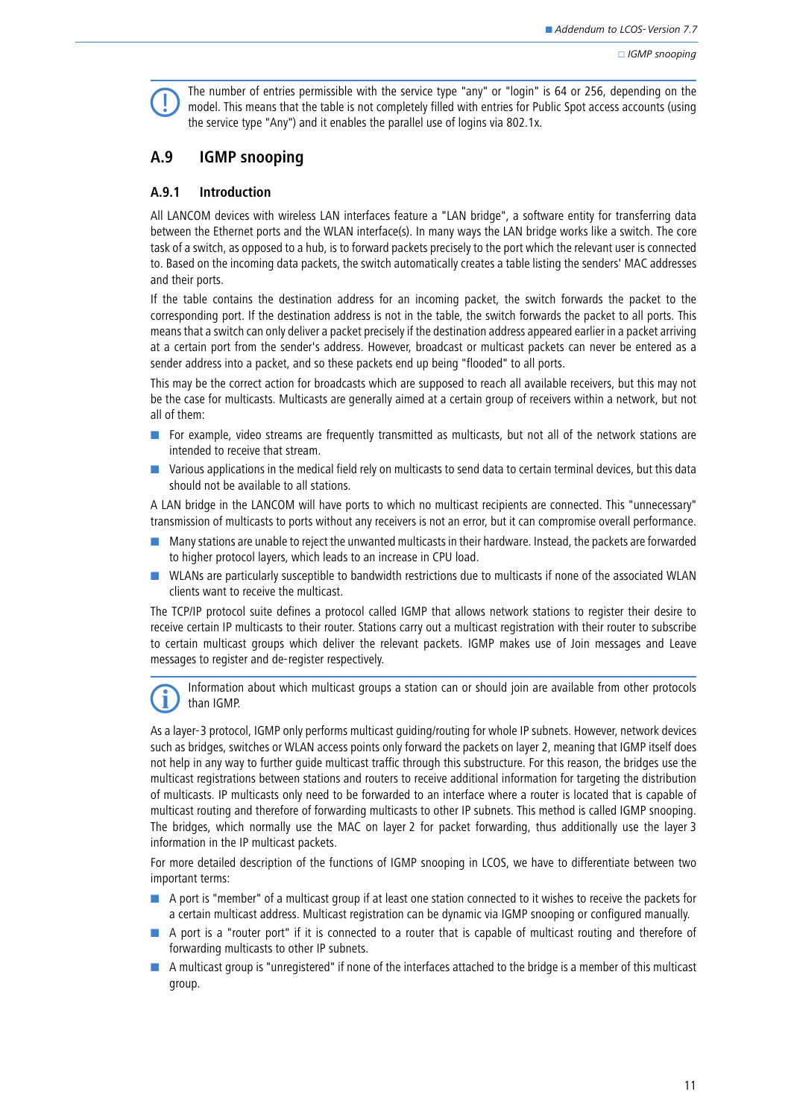The number of entries permissible with the service type "any" or "login" is 64 or 256, depending on the model. This means that the table is not completely filled with entries for Public Spot access accounts (using the engi the service type "Any") and it enables the parallel use of logins via 802.1x.

## <span id="page-10-0"></span>**A.9 IGMP snooping**

### **A.9.1 Introduction**

All LANCOM devices with wireless LAN interfaces feature a "LAN bridge", a software entity for transferring data between the Ethernet ports and the WLAN interface(s). In many ways the LAN bridge works like a switch. The core task of a switch, as opposed to a hub, is to forward packets precisely to the port which the relevant user is connected to. Based on the incoming data packets, the switch automatically creates a table listing the senders' MAC addresses and their ports.

If the table contains the destination address for an incoming packet, the switch forwards the packet to the corresponding port. If the destination address is not in the table, the switch forwards the packet to all ports. This means that a switch can only deliver a packet precisely if the destination address appeared earlier in a packet arriving at a certain port from the sender's address. However, broadcast or multicast packets can never be entered as a sender address into a packet, and so these packets end up being "flooded" to all ports.

This may be the correct action for broadcasts which are supposed to reach all available receivers, but this may not be the case for multicasts. Multicasts are generally aimed at a certain group of receivers within a network, but not all of them:

- **EXT** For example, video streams are frequently transmitted as multicasts, but not all of the network stations are intended to receive that stream.
- **In** Various applications in the medical field rely on multicasts to send data to certain terminal devices, but this data should not be available to all stations.

A LAN bridge in the LANCOM will have ports to which no multicast recipients are connected. This "unnecessary" transmission of multicasts to ports without any receivers is not an error, but it can compromise overall performance.

- **IN** Many stations are unable to reject the unwanted multicasts in their hardware. Instead, the packets are forwarded to higher protocol layers, which leads to an increase in CPU load.
- **The WILANs are particularly susceptible to bandwidth restrictions due to multicasts if none of the associated WLAN** clients want to receive the multicast.

The TCP/IP protocol suite defines a protocol called IGMP that allows network stations to register their desire to receive certain IP multicasts to their router. Stations carry out a multicast registration with their router to subscribe to certain multicast groups which deliver the relevant packets. IGMP makes use of Join messages and Leave messages to register and de-register respectively.

Information about which multicast groups a station can or should join are available from other protocols<br>
than IGMP than IGMP.

As a layer-3 protocol, IGMP only performs multicast guiding/routing for whole IP subnets. However, network devices such as bridges, switches or WLAN access points only forward the packets on layer 2, meaning that IGMP itself does not help in any way to further guide multicast traffic through this substructure. For this reason, the bridges use the multicast registrations between stations and routers to receive additional information for targeting the distribution of multicasts. IP multicasts only need to be forwarded to an interface where a router is located that is capable of multicast routing and therefore of forwarding multicasts to other IP subnets. This method is called IGMP snooping. The bridges, which normally use the MAC on layer 2 for packet forwarding, thus additionally use the layer 3 information in the IP multicast packets.

For more detailed description of the functions of IGMP snooping in LCOS, we have to differentiate between two important terms:

- A port is "member" of a multicast group if at least one station connected to it wishes to receive the packets for a certain multicast address. Multicast registration can be dynamic via IGMP snooping or configured manually.
- A port is a "router port" if it is connected to a router that is capable of multicast routing and therefore of forwarding multicasts to other IP subnets.
- A multicast group is "unregistered" if none of the interfaces attached to the bridge is a member of this multicast group.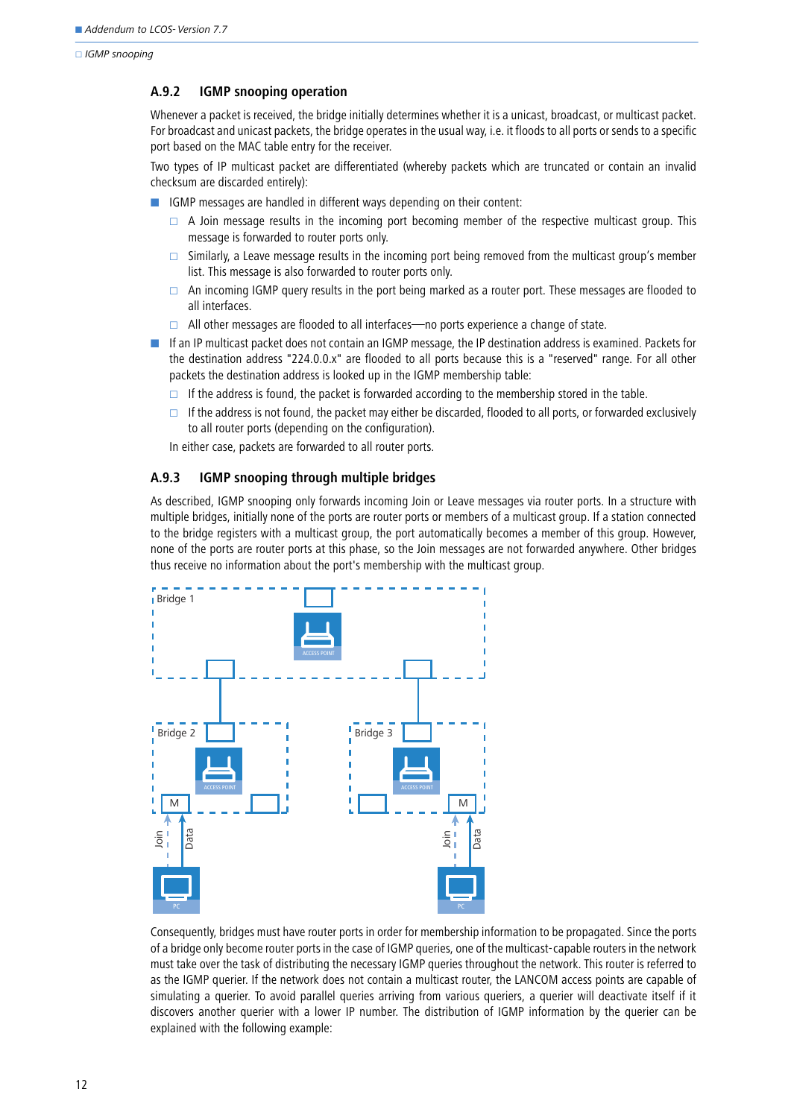### **A.9.2 IGMP snooping operation**

Whenever a packet is received, the bridge initially determines whether it is a unicast, broadcast, or multicast packet. For broadcast and unicast packets, the bridge operates in the usual way, i.e. it floods to all ports or sends to a specific port based on the MAC table entry for the receiver.

Two types of IP multicast packet are differentiated (whereby packets which are truncated or contain an invalid checksum are discarded entirely):

- **E** IGMP messages are handled in different ways depending on their content:
	- $\Box$  A Join message results in the incoming port becoming member of the respective multicast group. This message is forwarded to router ports only.
	- $\Box$  Similarly, a Leave message results in the incoming port being removed from the multicast group's member list. This message is also forwarded to router ports only.
	- $\Box$  An incoming IGMP query results in the port being marked as a router port. These messages are flooded to all interfaces.
	- $\Box$  All other messages are flooded to all interfaces—no ports experience a change of state.
- - If an IP multicast packet does not contain an IGMP message, the IP destination address is examined. Packets for the destination address "224.0.0.x" are flooded to all ports because this is a "reserved" range. For all other packets the destination address is looked up in the IGMP membership table:
	- If the address is found, the packet is forwarded according to the membership stored in the table.
	- If the address is not found, the packet may either be discarded, flooded to all ports, or forwarded exclusively to all router ports (depending on the configuration).

In either case, packets are forwarded to all router ports.

### **A.9.3 IGMP snooping through multiple bridges**

As described, IGMP snooping only forwards incoming Join or Leave messages via router ports. In a structure with multiple bridges, initially none of the ports are router ports or members of a multicast group. If a station connected to the bridge registers with a multicast group, the port automatically becomes a member of this group. However, none of the ports are router ports at this phase, so the Join messages are not forwarded anywhere. Other bridges thus receive no information about the port's membership with the multicast group.



Consequently, bridges must have router ports in order for membership information to be propagated. Since the ports of a bridge only become router ports in the case of IGMP queries, one of the multicast-capable routers in the network must take over the task of distributing the necessary IGMP queries throughout the network. This router is referred to as the IGMP querier. If the network does not contain a multicast router, the LANCOM access points are capable of simulating a querier. To avoid parallel queries arriving from various queriers, a querier will deactivate itself if it discovers another querier with a lower IP number. The distribution of IGMP information by the querier can be explained with the following example: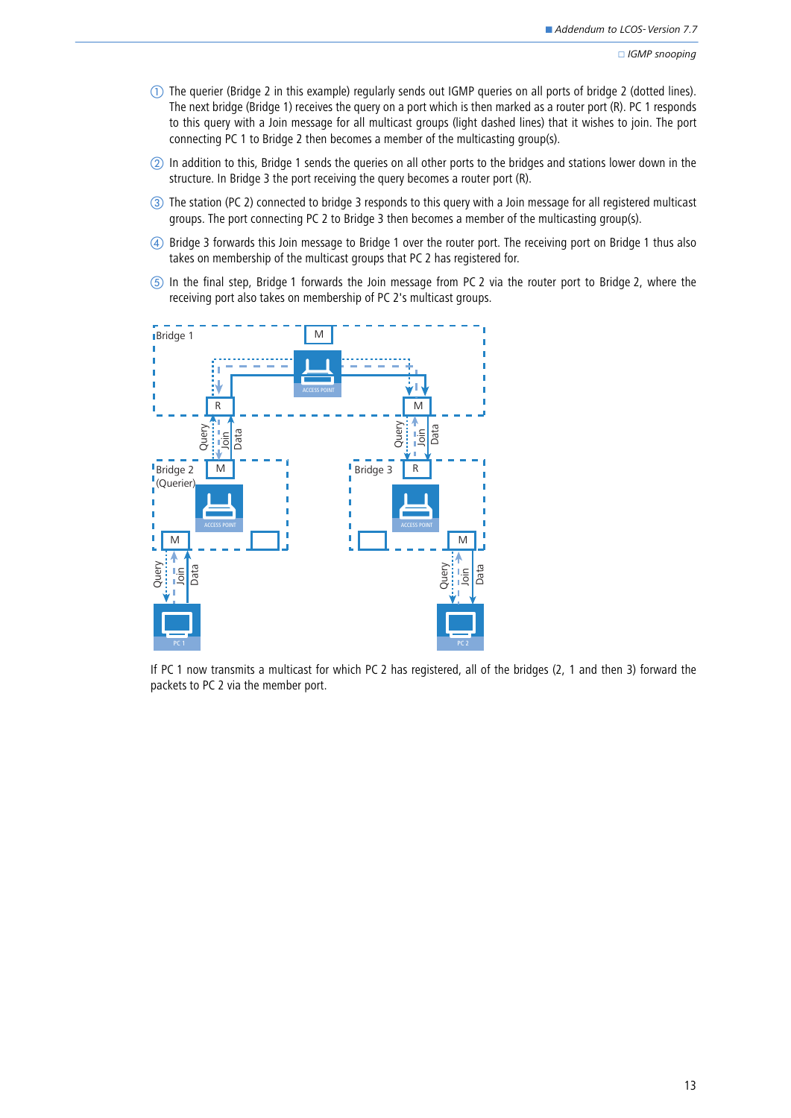- $\mathbb D$  The querier (Bridge 2 in this example) regularly sends out IGMP queries on all ports of bridge 2 (dotted lines). The next bridge (Bridge 1) receives the query on a port which is then marked as a router port (R). PC 1 responds to this query with a Join message for all multicast groups (light dashed lines) that it wishes to join. The port connecting PC 1 to Bridge 2 then becomes a member of the multicasting group(s).
- In addition to this, Bridge 1 sends the queries on all other ports to the bridges and stations lower down in the structure. In Bridge 3 the port receiving the query becomes a router port (R).
- The station (PC 2) connected to bridge 3 responds to this query with a Join message for all registered multicast groups. The port connecting PC 2 to Bridge 3 then becomes a member of the multicasting group(s).
- Bridge 3 forwards this Join message to Bridge 1 over the router port. The receiving port on Bridge 1 thus also takes on membership of the multicast groups that PC 2 has registered for.
- In the final step, Bridge 1 forwards the Join message from PC 2 via the router port to Bridge 2, where the receiving port also takes on membership of PC 2's multicast groups.



If PC 1 now transmits a multicast for which PC 2 has registered, all of the bridges (2, 1 and then 3) forward the packets to PC 2 via the member port.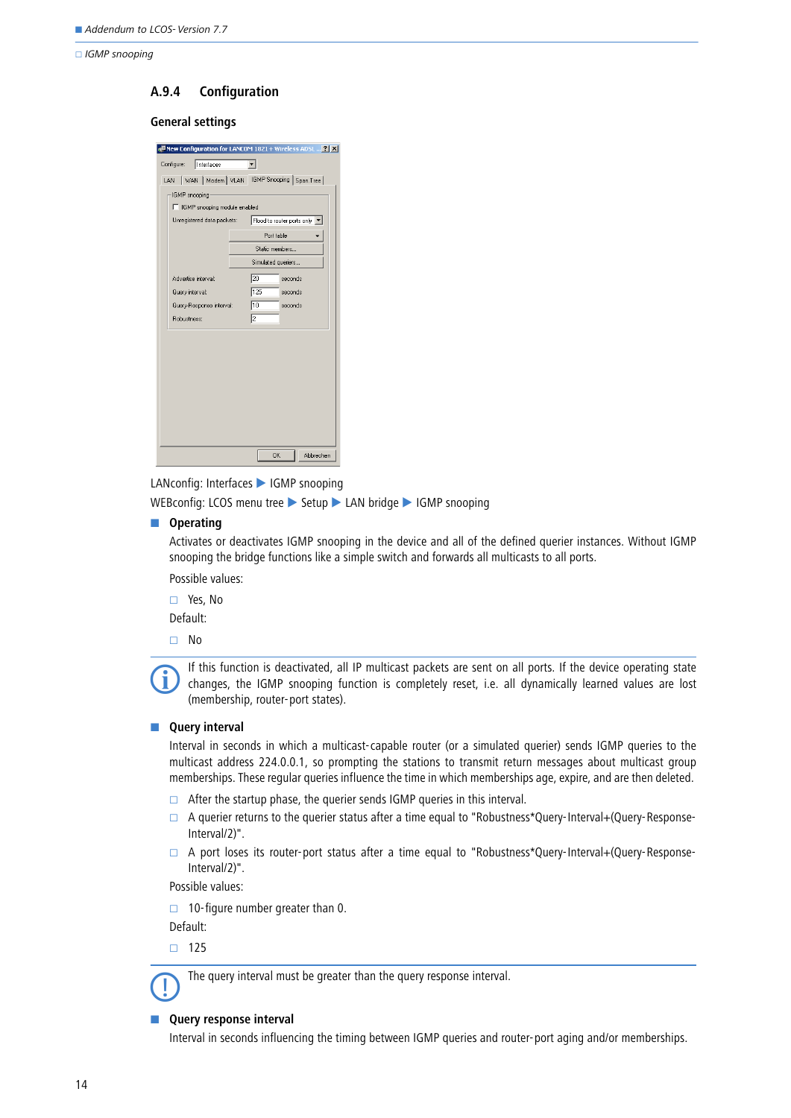### **A.9.4 Configuration**

### **General settings**

| New Configuration for LANCOM 1821 + Wireless ADSL $\boxed{?}$ X |                            |  |  |  |
|-----------------------------------------------------------------|----------------------------|--|--|--|
| Interfaces<br>Configure:<br>▾                                   |                            |  |  |  |
| WAN   Modem   VLAN   IGMP Snooping   Span.Tree  <br>LAN         |                            |  |  |  |
| IGMP snooping                                                   |                            |  |  |  |
| □ IGMP snooping module enabled                                  |                            |  |  |  |
| Unregistered data packets:                                      | Flood to router ports only |  |  |  |
|                                                                 | Port table                 |  |  |  |
|                                                                 | Static members             |  |  |  |
|                                                                 | Simulated queriers         |  |  |  |
| Advertise interval:                                             | 20<br>seconds              |  |  |  |
| Query interval:                                                 | 125<br>seconds             |  |  |  |
| Query-Response interval:                                        | 10<br>seconds              |  |  |  |
| Bobustness:                                                     | I2                         |  |  |  |
|                                                                 |                            |  |  |  |
|                                                                 |                            |  |  |  |
|                                                                 |                            |  |  |  |
|                                                                 |                            |  |  |  |
|                                                                 |                            |  |  |  |
|                                                                 |                            |  |  |  |
|                                                                 |                            |  |  |  |
|                                                                 |                            |  |  |  |
|                                                                 |                            |  |  |  |
|                                                                 | <b>OK</b><br>Abbrechen     |  |  |  |

LANconfig: Interfaces IGMP snooping

WEBconfig: LCOS menu tree > Setup > LAN bridge > IGMP snooping

#### $\blacksquare$  Operating

Activates or deactivates IGMP snooping in the device and all of the defined querier instances. Without IGMP snooping the bridge functions like a simple switch and forwards all multicasts to all ports.

Possible values:

Yes, No

Default:

□ No

If this function is deactivated, all IP multicast packets are sent on all ports. If the device operating state<br>changes, the IGMP snooping function is completely reset, i.e. all dynamically learned values are lost<br>changes i (membership, router-port states).

#### **E** Query interval

Interval in seconds in which a multicast-capable router (or a simulated querier) sends IGMP queries to the multicast address 224.0.0.1, so prompting the stations to transmit return messages about multicast group memberships. These regular queries influence the time in which memberships age, expire, and are then deleted.

- $\Box$  After the startup phase, the querier sends IGMP queries in this interval.
- $\Box$  A querier returns to the querier status after a time equal to "Robustness\*Query-Interval+(Query-Response-Interval/2)".
- $\Box$  A port loses its router-port status after a time equal to "Robustness\*Query-Interval+(Query-Response-Interval/2)".

Possible values:

 $\Box$  10-figure number greater than 0.

Default:

 $\Box$  125

The query interval must be greater than the query response interval.

### **E** Query response interval

Interval in seconds influencing the timing between IGMP queries and router-port aging and/or memberships.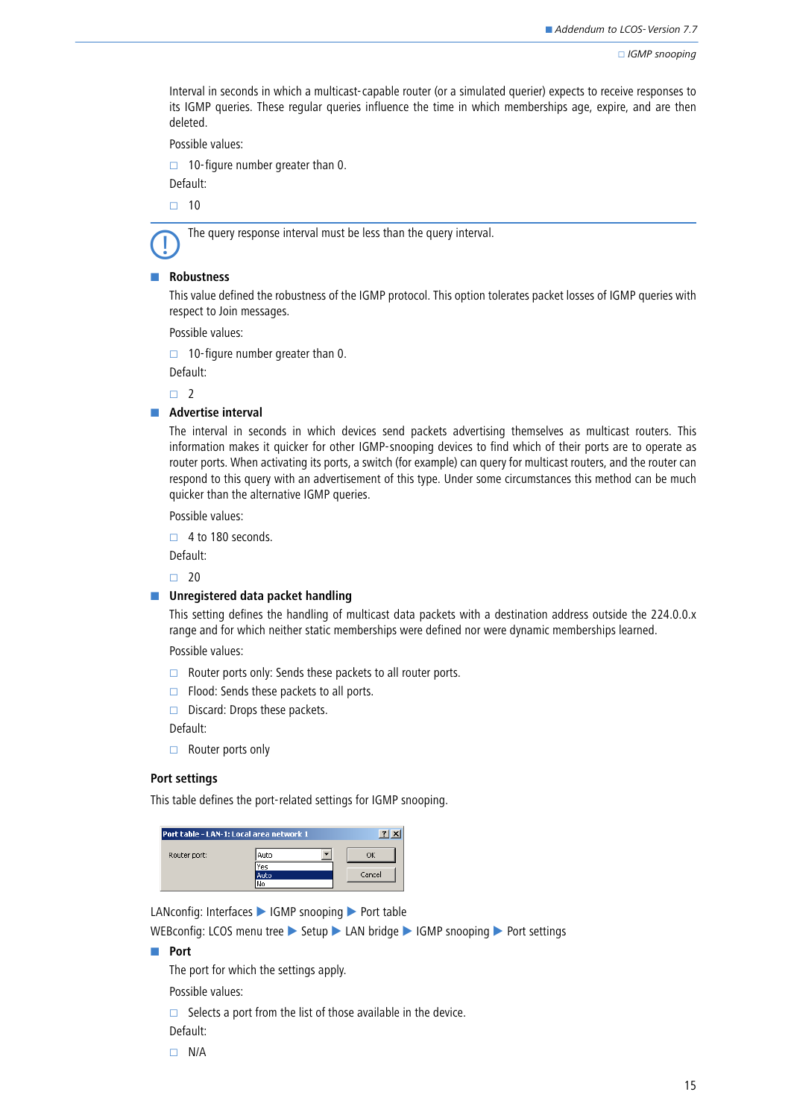Interval in seconds in which a multicast-capable router (or a simulated querier) expects to receive responses to its IGMP queries. These regular queries influence the time in which memberships age, expire, and are then deleted.

Possible values:

10-figure number greater than 0.

Default:

 $\Box$  10



The query response interval must be less than the query interval.

#### - **Robustness**

This value defined the robustness of the IGMP protocol. This option tolerates packet losses of IGMP queries with respect to Join messages.

Possible values:

 $\Box$  10-figure number greater than 0.

Default:

 $\Box$ 

#### **E** Advertise interval

The interval in seconds in which devices send packets advertising themselves as multicast routers. This information makes it quicker for other IGMP-snooping devices to find which of their ports are to operate as router ports. When activating its ports, a switch (for example) can query for multicast routers, and the router can respond to this query with an advertisement of this type. Under some circumstances this method can be much quicker than the alternative IGMP queries.

Possible values:

 $\Box$  4 to 180 seconds.

Default:

 $\Box$  20

#### $\blacksquare$  Unregistered data packet handling

This setting defines the handling of multicast data packets with a destination address outside the 224.0.0.x range and for which neither static memberships were defined nor were dynamic memberships learned.

Possible values:

- $\Box$  Router ports only: Sends these packets to all router ports.
- $\Box$  Flood: Sends these packets to all ports.
- $\Box$  Discard: Drops these packets.

Default:

 $\Box$  Router ports only

### **Port settings**

This table defines the port-related settings for IGMP snooping.

| Port table - LAN-1: Local area network 1 |      |        |
|------------------------------------------|------|--------|
| Router port:                             | Auto |        |
|                                          | Yes  |        |
|                                          | Auto | Cancel |
|                                          | ١c   |        |

LANconfig: Interfaces > IGMP snooping > Port table

WEBconfig: LCOS menu tree Setup LAN bridge IGMP snooping Port settings

#### **■** Port

The port for which the settings apply.

Possible values:

 $\Box$  Selects a port from the list of those available in the device.

Default:

 $\Box$  N/A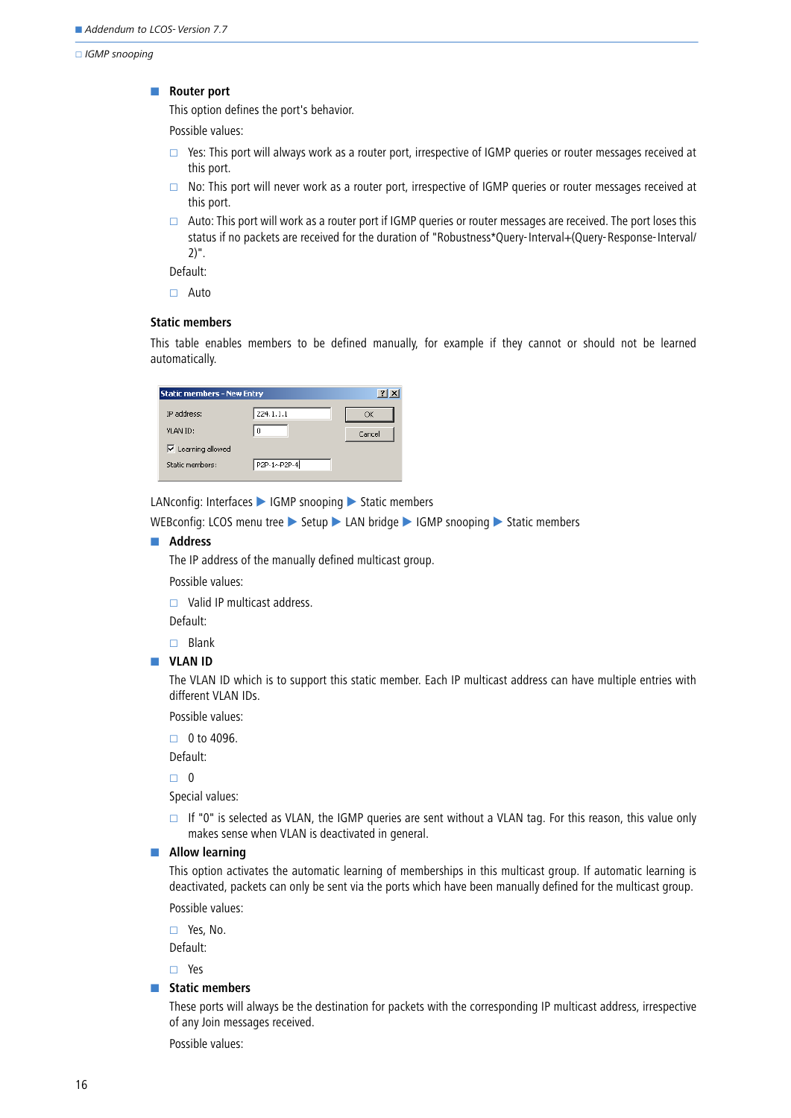#### -**Router port**

This option defines the port's behavior.

Possible values:

- $\Box$  Yes: This port will always work as a router port, irrespective of IGMP queries or router messages received at this port.
- $\Box$  No: This port will never work as a router port, irrespective of IGMP queries or router messages received at this port.
- $\Box$  Auto: This port will work as a router port if IGMP queries or router messages are received. The port loses this status if no packets are received for the duration of "Robustness\*Query-Interval+(Query-Response-Interval/ 2)".

Default:

Auto

### **Static members**

This table enables members to be defined manually, for example if they cannot or should not be learned automatically.

| <b>Static members - New Entry</b> |             | $\frac{1}{2}$ |
|-----------------------------------|-------------|---------------|
| IP address:                       | 224.1.1.1   | OK            |
| VLAN ID:                          | ٥           | Cancel        |
| $\triangledown$ Learning allowed  |             |               |
| Static members:                   | P2P-1~P2P-4 |               |
|                                   |             |               |

LANconfig: Interfaces  $\blacktriangleright$  IGMP snooping  $\blacktriangleright$  Static members

WEBconfig: LCOS menu tree > Setup > LAN bridge > IGMP snooping > Static members

#### $\blacksquare$  Address

The IP address of the manually defined multicast group.

Possible values:

 $\Box$  Valid IP multicast address.

Default:

 $\Box$  Blank

#### **N** VLAN ID

The VLAN ID which is to support this static member. Each IP multicast address can have multiple entries with different VLAN IDs.

Possible values:

 $\Box$  0 to 4096.

Default:

 $\Box$  0

Special values:

If "0" is selected as VLAN, the IGMP queries are sent without a VLAN tag. For this reason, this value only makes sense when VLAN is deactivated in general.

#### $\blacksquare$  Allow learning

This option activates the automatic learning of memberships in this multicast group. If automatic learning is deactivated, packets can only be sent via the ports which have been manually defined for the multicast group.

Possible values:

Yes, No.

Default:

Yes

#### - **Static members**

These ports will always be the destination for packets with the corresponding IP multicast address, irrespective of any Join messages received.

Possible values: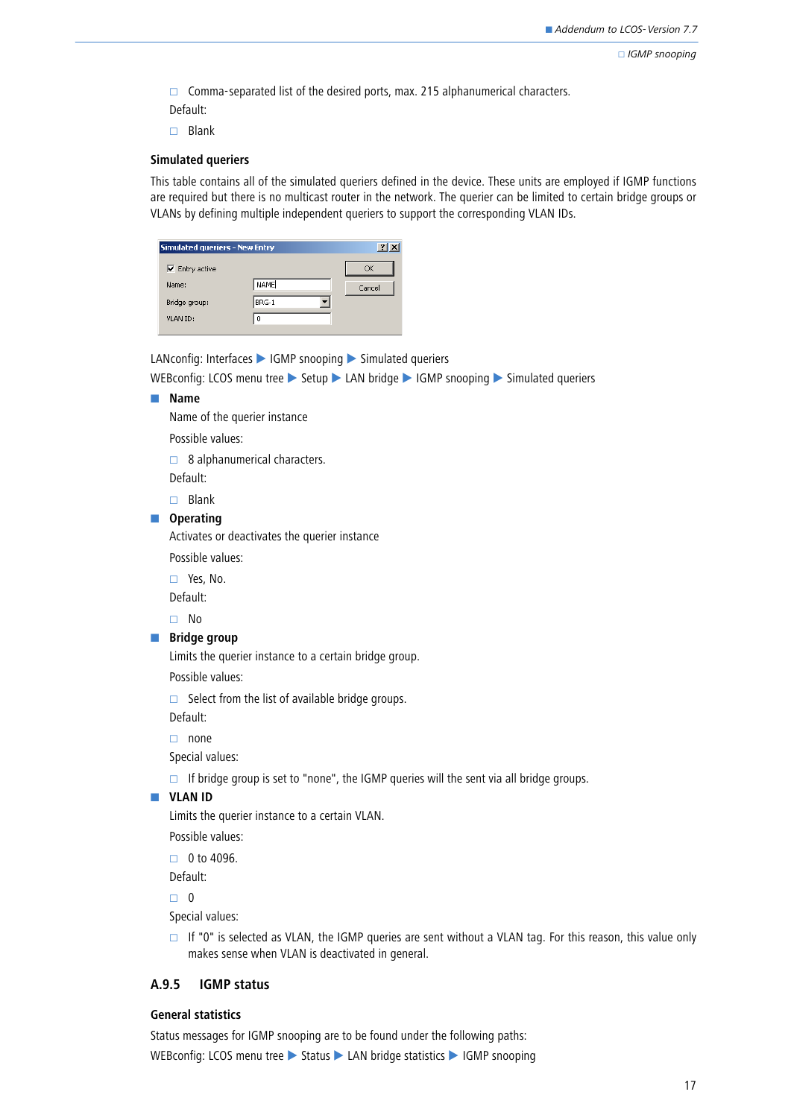$\Box$  Comma-separated list of the desired ports, max. 215 alphanumerical characters.

- Default:
- $\Box$  Blank

### **Simulated queriers**

This table contains all of the simulated queriers defined in the device. These units are employed if IGMP functions are required but there is no multicast router in the network. The querier can be limited to certain bridge groups or VLANs by defining multiple independent queriers to support the corresponding VLAN IDs.

| <b>Simulated queriers - New Entry</b> |          | $\frac{2}{3}$ |
|---------------------------------------|----------|---------------|
| $\overline{\mathsf{v}}$ Entry active  |          | OK            |
| Name:                                 | NAME     | Cancel        |
| Bridge group:                         | BRG-1    |               |
| VLAN ID:                              | $\Omega$ |               |
|                                       |          |               |

LANconfig: Interfaces  $\blacktriangleright$  IGMP snooping  $\blacktriangleright$  Simulated queriers

WEBconfig: LCOS menu tree  $\triangleright$  Setup  $\triangleright$  LAN bridge  $\triangleright$  IGMP snooping  $\triangleright$  Simulated queriers

#### - **Name**

Name of the querier instance

Possible values:

 $\Box$  8 alphanumerical characters.

Default:

 $\Box$  Blank

### $\blacksquare$  Operating

Activates or deactivates the querier instance

Possible values:

Yes, No.

Default:

No

#### **Bridge group**

Limits the querier instance to a certain bridge group.

Possible values:

 $\Box$  Select from the list of available bridge groups.

Default:

 $\Box$  none

Special values:

 $\Box$  If bridge group is set to "none", the IGMP queries will the sent via all bridge groups.

### **N** VLAN ID

Limits the querier instance to a certain VLAN.

Possible values:

 $\Box$  0 to 4096.

Default:

 $\Box$  0

Special values:

 $\Box$  If "0" is selected as VLAN, the IGMP queries are sent without a VLAN tag. For this reason, this value only makes sense when VLAN is deactivated in general.

### **A.9.5 IGMP status**

### **General statistics**

Status messages for IGMP snooping are to be found under the following paths: WEBconfig: LCOS menu tree > Status > LAN bridge statistics > IGMP snooping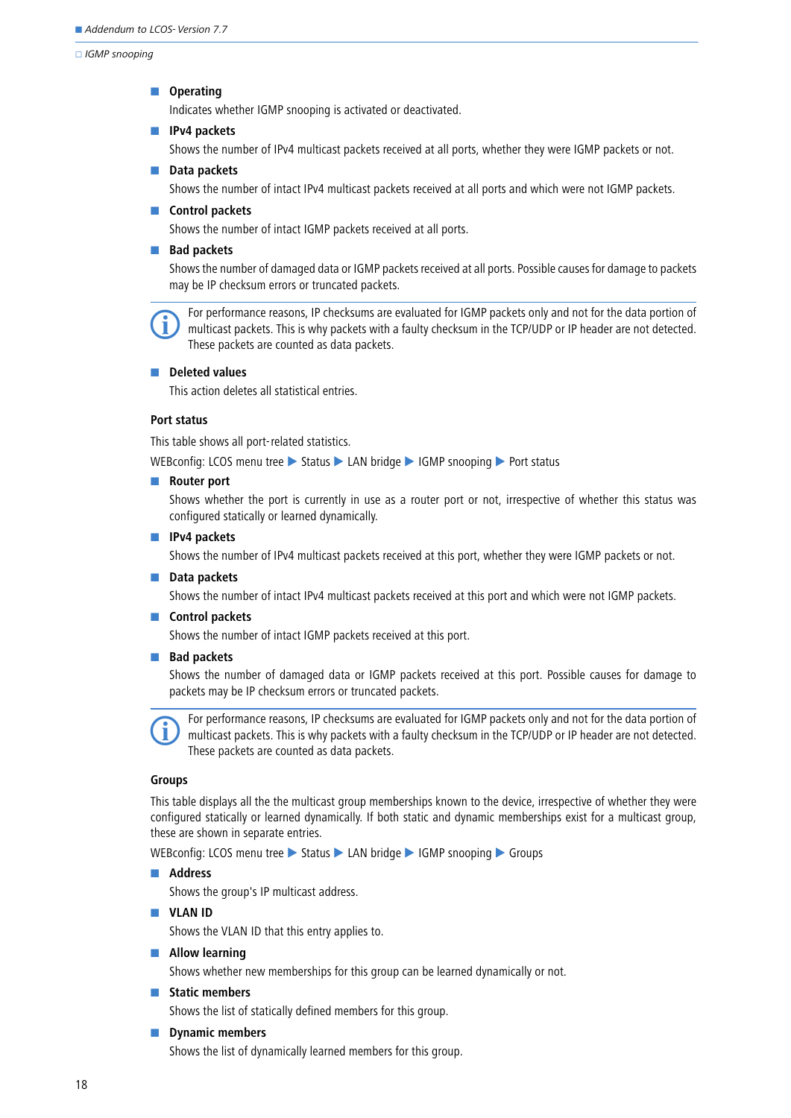### $\blacksquare$  Operating

Indicates whether IGMP snooping is activated or deactivated.

#### - **IPv4 packets**

Shows the number of IPv4 multicast packets received at all ports, whether they were IGMP packets or not.

#### - **Data packets**

Shows the number of intact IPv4 multicast packets received at all ports and which were not IGMP packets.

#### **E** Control packets

Shows the number of intact IGMP packets received at all ports.

#### **Bad packets**

Shows the number of damaged data or IGMP packets received at all ports. Possible causes for damage to packets may be IP checksum errors or truncated packets.

 For performance reasons, IP checksums are evaluated for IGMP packets only and not for the data portion of multicast packets. This is why packets with a faulty checksum in the TCP/UDP or IP header are not detected. These packets are counted as data packets.

#### $\blacksquare$  Deleted values

This action deletes all statistical entries.

#### **Port status**

This table shows all port-related statistics.

WEBconfig: LCOS menu tree Status LAN bridge IGMP snooping Port status

#### **Router port**

Shows whether the port is currently in use as a router port or not, irrespective of whether this status was configured statically or learned dynamically.

#### - **IPv4 packets**

Shows the number of IPv4 multicast packets received at this port, whether they were IGMP packets or not.

#### - **Data packets**

Shows the number of intact IPv4 multicast packets received at this port and which were not IGMP packets.

#### **E** Control packets

Shows the number of intact IGMP packets received at this port.

#### **Bad packets**

Shows the number of damaged data or IGMP packets received at this port. Possible causes for damage to packets may be IP checksum errors or truncated packets.

 For performance reasons, IP checksums are evaluated for IGMP packets only and not for the data portion of multicast packets. This is why packets with a faulty checksum in the TCP/UDP or IP header are not detected. These packets are counted as data packets.

### **Groups**

This table displays all the the multicast group memberships known to the device, irrespective of whether they were configured statically or learned dynamically. If both static and dynamic memberships exist for a multicast group, these are shown in separate entries.

WEBconfig: LCOS menu tree > Status > LAN bridge > IGMP snooping > Groups

#### $\blacksquare$  Address

Shows the group's IP multicast address.

**N** VLAN ID

Shows the VLAN ID that this entry applies to.

#### $\blacksquare$  Allow learning

Shows whether new memberships for this group can be learned dynamically or not.

#### - **Static members**

Shows the list of statically defined members for this group.

#### $\blacksquare$  Dynamic members

Shows the list of dynamically learned members for this group.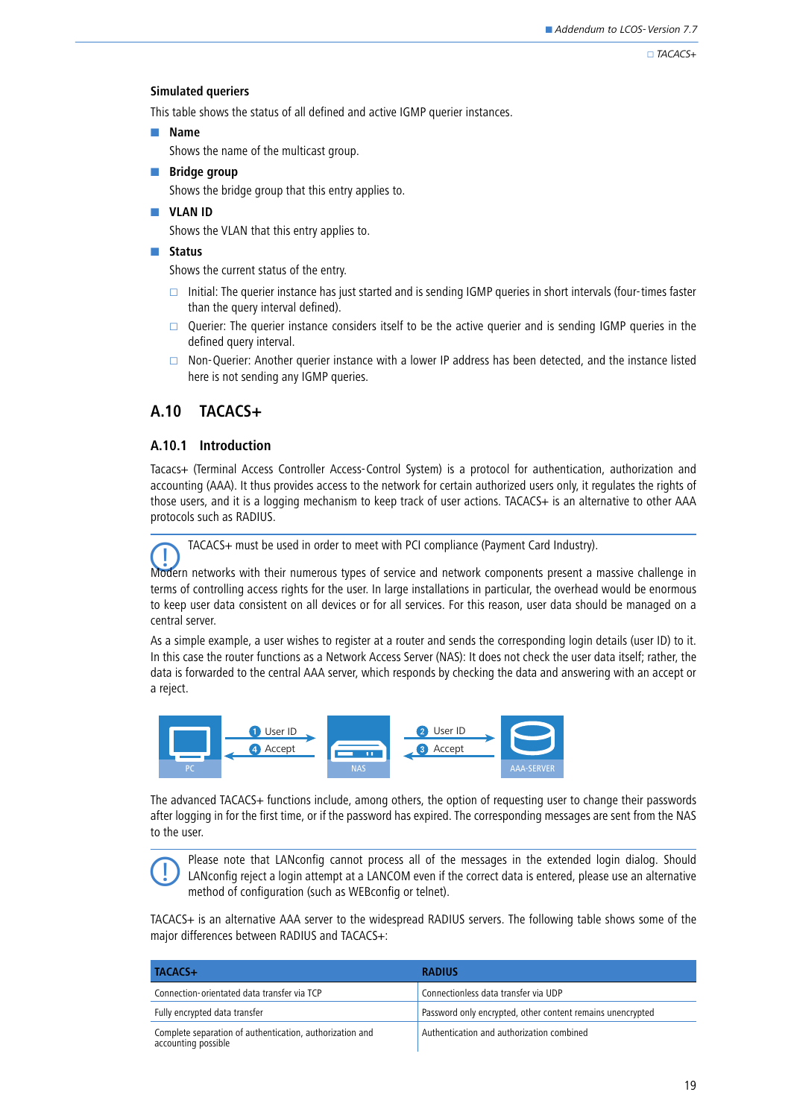$\Box$ TACACS+

### **Simulated queriers**

This table shows the status of all defined and active IGMP querier instances.

### - **Name**

Shows the name of the multicast group.

**Ridge group** 

Shows the bridge group that this entry applies to.

**N** VLAN ID

Shows the VLAN that this entry applies to.

### - **Status**

Shows the current status of the entry.

- Initial: The querier instance has just started and is sending IGMP queries in short intervals (four-times faster than the query interval defined).
- $\Box$  Querier: The querier instance considers itself to be the active querier and is sending IGMP queries in the defined query interval.
- $\Box$  Non-Querier: Another querier instance with a lower IP address has been detected, and the instance listed here is not sending any IGMP queries.

## <span id="page-18-0"></span>**A.10 TACACS+**

### **A.10.1 Introduction**

Tacacs+ (Terminal Access Controller Access-Control System) is a protocol for authentication, authorization and accounting (AAA). It thus provides access to the network for certain authorized users only, it regulates the rights of those users, and it is a logging mechanism to keep track of user actions. TACACS+ is an alternative to other AAA protocols such as RADIUS.



TACACS+ must be used in order to meet with PCI compliance (Payment Card Industry).

Modern networks with their numerous types of service and network components present a massive challenge in terms of controlling access rights for the user. In large installations in particular, the overhead would be enormous to keep user data consistent on all devices or for all services. For this reason, user data should be managed on a central server.

As a simple example, a user wishes to register at a router and sends the corresponding login details (user ID) to it. In this case the router functions as a Network Access Server (NAS): It does not check the user data itself; rather, the data is forwarded to the central AAA server, which responds by checking the data and answering with an accept or a reject.



The advanced TACACS+ functions include, among others, the option of requesting user to change their passwords after logging in for the first time, or if the password has expired. The corresponding messages are sent from the NAS to the user.

 Please note that LANconfig cannot process all of the messages in the extended login dialog. Should LANconfig reject a login attempt at a LANCOM even if the correct data is entered, please use an alternative method of configuration (such as WEBconfig or telnet).

TACACS+ is an alternative AAA server to the widespread RADIUS servers. The following table shows some of the major differences between RADIUS and TACACS+:

| TACACS+                                                                         | <b>RADIUS</b>                                              |
|---------------------------------------------------------------------------------|------------------------------------------------------------|
| Connection-orientated data transfer via TCP                                     | Connectionless data transfer via UDP                       |
| Fully encrypted data transfer                                                   | Password only encrypted, other content remains unencrypted |
| Complete separation of authentication, authorization and<br>accounting possible | Authentication and authorization combined                  |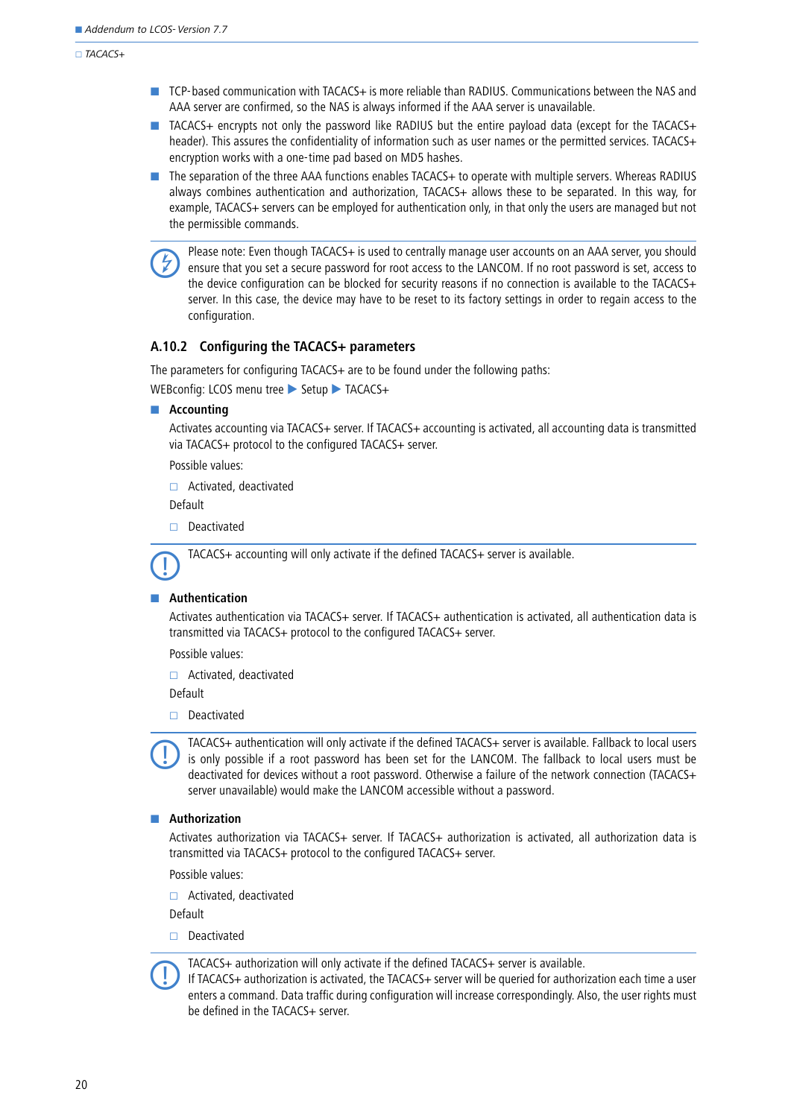$TACACS+$ 

- TCP-based communication with TACACS+ is more reliable than RADIUS. Communications between the NAS and AAA server are confirmed, so the NAS is always informed if the AAA server is unavailable.
- TACACS+ encrypts not only the password like RADIUS but the entire payload data (except for the TACACS+ header). This assures the confidentiality of information such as user names or the permitted services. TACACS+ encryption works with a one-time pad based on MD5 hashes.
- The separation of the three AAA functions enables TACACS+ to operate with multiple servers. Whereas RADIUS always combines authentication and authorization, TACACS+ allows these to be separated. In this way, for example, TACACS+ servers can be employed for authentication only, in that only the users are managed but not the permissible commands.

 Please note: Even though TACACS+ is used to centrally manage user accounts on an AAA server, you should ensure that you set a secure password for root access to the LANCOM. If no root password is set, access to the device configuration can be blocked for security reasons if no connection is available to the TACACS+ server. In this case, the device may have to be reset to its factory settings in order to regain access to the configuration.

### **A.10.2 Configuring the TACACS+ parameters**

The parameters for configuring TACACS+ are to be found under the following paths:

WEBconfig: LCOS menu tree Setup TACACS+

#### **Accounting**

Activates accounting via TACACS+ server. If TACACS+ accounting is activated, all accounting data is transmitted via TACACS+ protocol to the configured TACACS+ server.

Possible values:

□ Activated, deactivated

Default

Deactivated

TACACS+ accounting will only activate if the defined TACACS+ server is available.

#### -**Authentication**

Activates authentication via TACACS+ server. If TACACS+ authentication is activated, all authentication data is transmitted via TACACS+ protocol to the configured TACACS+ server.

Possible values:

□ Activated, deactivated

Default

 $\Box$  Deactivated

 TACACS+ authentication will only activate if the defined TACACS+ server is available. Fallback to local users is only possible if a root password has been set for the LANCOM. The fallback to local users must be deactivated for devices without a root password. Otherwise a failure of the network connection (TACACS+ server unavailable) would make the LANCOM accessible without a password.

#### **E** Authorization

Activates authorization via TACACS+ server. If TACACS+ authorization is activated, all authorization data is transmitted via TACACS+ protocol to the configured TACACS+ server.

Possible values:

□ Activated, deactivated

Default

 $\Box$  Deactivated



If TACACS+ authorization is activated, the TACACS+ server will be queried for authorization each time a user enters a command. Data traffic during configuration will increase correspondingly. Also, the user rights must be defined in the TACACS+ server.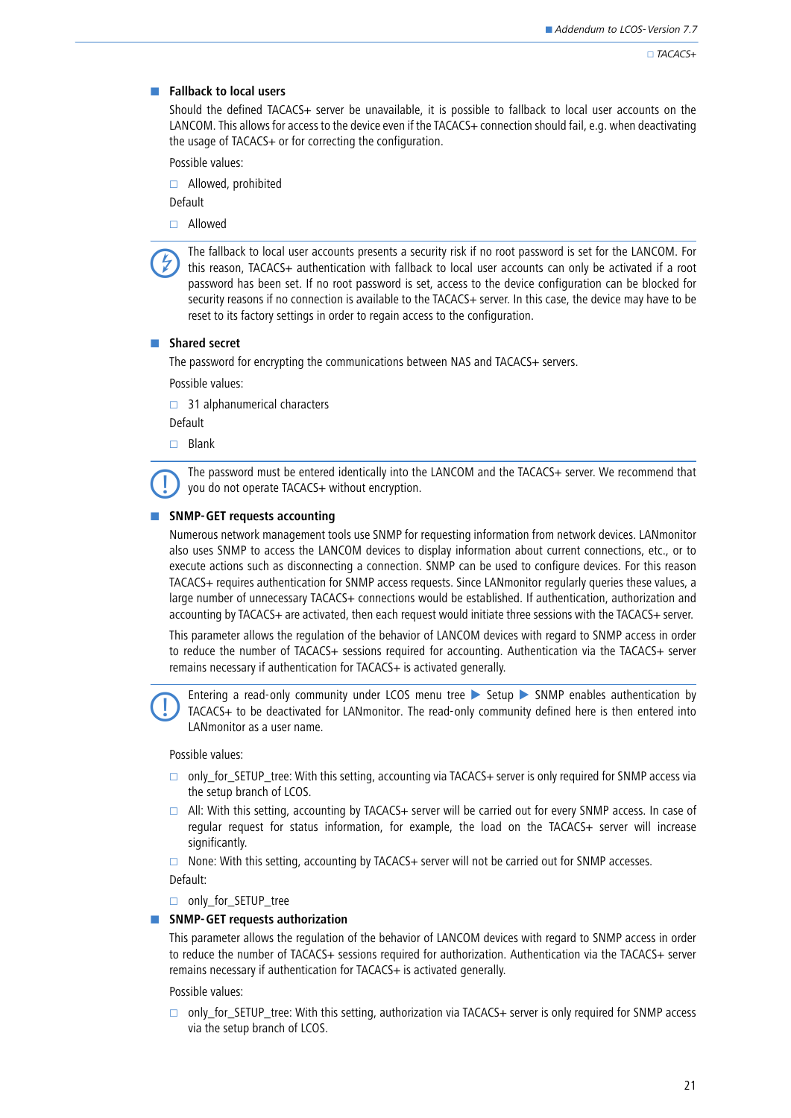### **E** Fallback to local users

Should the defined TACACS+ server be unavailable, it is possible to fallback to local user accounts on the LANCOM. This allows for access to the device even if the TACACS+ connection should fail, e.g. when deactivating the usage of TACACS+ or for correcting the configuration.

Possible values:

□ Allowed, prohibited

Default

Allowed

 The fallback to local user accounts presents a security risk if no root password is set for the LANCOM. For this reason, TACACS+ authentication with fallback to local user accounts can only be activated if a root password has been set. If no root password is set, access to the device configuration can be blocked for security reasons if no connection is available to the TACACS+ server. In this case, the device may have to be reset to its factory settings in order to regain access to the configuration.

### - **Shared secret**

The password for encrypting the communications between NAS and TACACS+ servers.

Possible values:

 $\Box$  31 alphanumerical characters

Default

 $\Box$  Blank

 The password must be entered identically into the LANCOM and the TACACS+ server. We recommend that you do not operate TACACS+ without encryption.

### **EXAMP-GET requests accounting**

Numerous network management tools use SNMP for requesting information from network devices. LANmonitor also uses SNMP to access the LANCOM devices to display information about current connections, etc., or to execute actions such as disconnecting a connection. SNMP can be used to configure devices. For this reason TACACS+ requires authentication for SNMP access requests. Since LANmonitor regularly queries these values, a large number of unnecessary TACACS+ connections would be established. If authentication, authorization and accounting by TACACS+ are activated, then each request would initiate three sessions with the TACACS+ server.

This parameter allows the regulation of the behavior of LANCOM devices with regard to SNMP access in order to reduce the number of TACACS+ sessions required for accounting. Authentication via the TACACS+ server remains necessary if authentication for TACACS+ is activated generally.

Entering a read-only community under LCOS menu tree  $\triangleright$  Setup  $\triangleright$  SNMP enables authentication by TACACS+ to be deactivated for LANmonitor. The read-only community defined here is then entered into LANmonitor as a user name.

Possible values:

- □ only\_for\_SETUP\_tree: With this setting, accounting via TACACS+ server is only required for SNMP access via the setup branch of LCOS.
- $\Box$  All: With this setting, accounting by TACACS+ server will be carried out for every SNMP access. In case of regular request for status information, for example, the load on the TACACS+ server will increase significantly.

 $\Box$  None: With this setting, accounting by TACACS+ server will not be carried out for SNMP accesses.

Default:

only for SETUP tree

#### **EXECTE SNMP-GET requests authorization**

This parameter allows the regulation of the behavior of LANCOM devices with regard to SNMP access in order to reduce the number of TACACS+ sessions required for authorization. Authentication via the TACACS+ server remains necessary if authentication for TACACS+ is activated generally.

Possible values:

 $\Box$  only for SETUP tree: With this setting, authorization via TACACS+ server is only required for SNMP access via the setup branch of LCOS.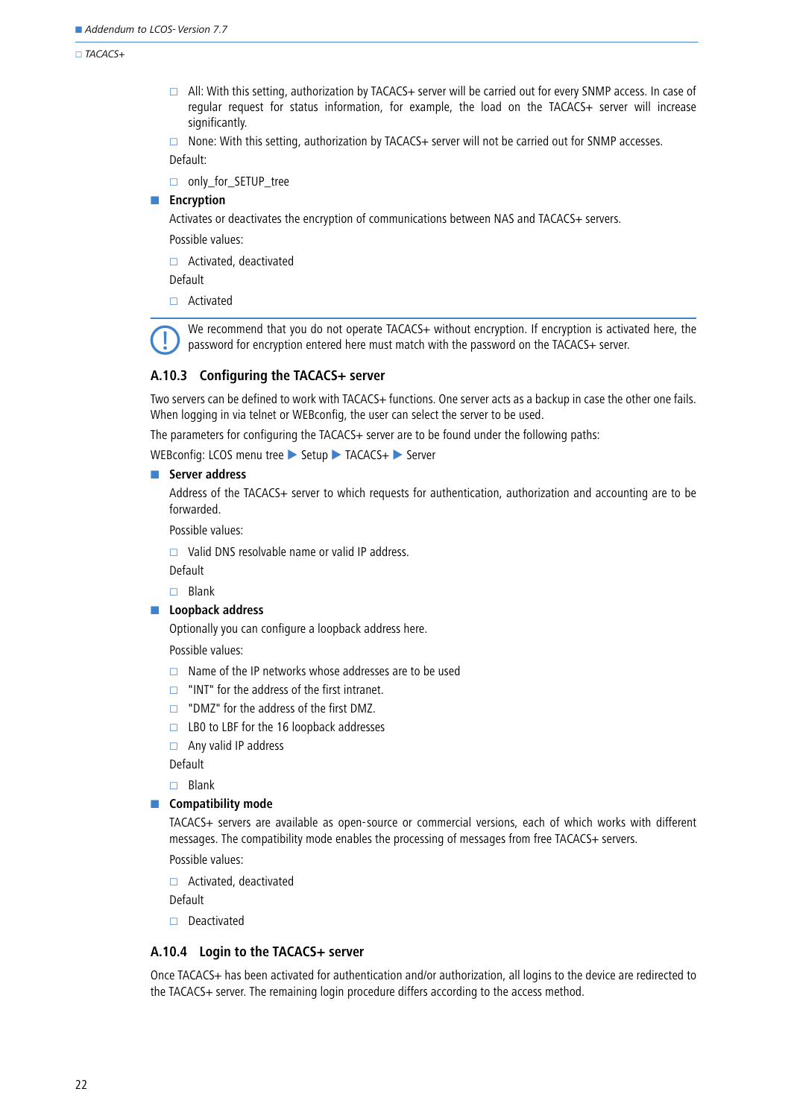#### $\Box$ TACACS+

 All: With this setting, authorization by TACACS+ server will be carried out for every SNMP access. In case of regular request for status information, for example, the load on the TACACS+ server will increase significantly.

 $\Box$  None: With this setting, authorization by TACACS+ server will not be carried out for SNMP accesses.

Default:

□ only\_for\_SETUP\_tree

### **Encryption**

Activates or deactivates the encryption of communications between NAS and TACACS+ servers.

Possible values:

□ Activated, deactivated

Default

□ Activated

We recommend that you do not operate TACACS+ without encryption. If encryption is activated here, the password for encryption entered here must match with the password on the TACACS+ server.

### **A.10.3 Configuring the TACACS+ server**

Two servers can be defined to work with TACACS+ functions. One server acts as a backup in case the other one fails. When logging in via telnet or WEBconfig, the user can select the server to be used.

The parameters for configuring the TACACS+ server are to be found under the following paths:

WEBconfig: LCOS menu tree Setup TACACS+ Server

#### - **Server address**

Address of the TACACS+ server to which requests for authentication, authorization and accounting are to be forwarded.

Possible values:

 $\Box$  Valid DNS resolvable name or valid IP address.

Default

 $\square$  Blank

### **Exercise 2** Loopback address

Optionally you can configure a loopback address here.

Possible values:

- $\Box$  Name of the IP networks whose addresses are to be used
- $\Box$  "INT" for the address of the first intranet.
- $\Box$  "DMZ" for the address of the first DMZ.
- $\Box$  LB0 to LBF for the 16 loopback addresses
- $\Box$  Any valid IP address

Default

 $\Box$  Blank

### **E** Compatibility mode

TACACS+ servers are available as open-source or commercial versions, each of which works with different messages. The compatibility mode enables the processing of messages from free TACACS+ servers.

Possible values:

Activated, deactivated

Default

 $\Box$  Deactivated

## **A.10.4 Login to the TACACS+ server**

Once TACACS+ has been activated for authentication and/or authorization, all logins to the device are redirected to the TACACS+ server. The remaining login procedure differs according to the access method.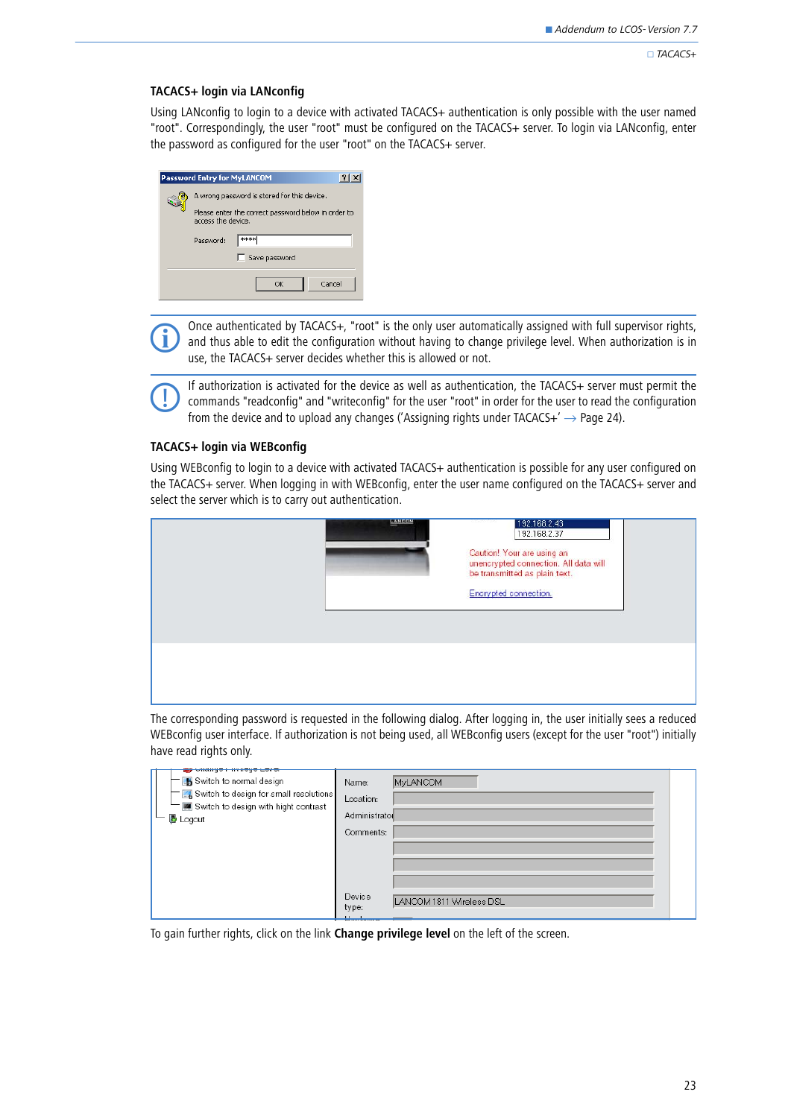#### $\Box$ TACACS+

### **TACACS+ login via LANconfig**

Using LANconfig to login to a device with activated TACACS+ authentication is only possible with the user named "root". Correspondingly, the user "root" must be configured on the TACACS+ server. To login via LANconfig, enter the password as configured for the user "root" on the TACACS+ server.

| Password Entry for MyLANCOM                                                                                              | $\overline{2}$ |
|--------------------------------------------------------------------------------------------------------------------------|----------------|
| A wrong password is stored for this device.<br>Please enter the correct password below in order to<br>access the device. |                |
| ****<br>Password:<br>Save password                                                                                       |                |
| Cancel<br>OK                                                                                                             |                |

Once authenticated by TACACS+, "root" is the only user automatically assigned with full supervisor rights, and thus able to edit the configuration without having to change privilege level. When authorization is in use, the TACACS+ server decides whether this is allowed or not.

If authorization is activated for the device as well as authentication, the TACACS+ server must permit the commands "readconfig" and "writeconfig" for the user "root" in order for the user to read the configuration from the device and to upload any changes ('Assigning rights under  $TACACS+' \rightarrow$  Page 24).

### **TACACS+ login via WEBconfig**

Using WEBconfig to login to a device with activated TACACS+ authentication is possible for any user configured on the TACACS+ server. When logging in with WEBconfig, enter the user name configured on the TACACS+ server and select the server which is to carry out authentication.

| <b>FANCOM</b> | 192.168.2.43<br>192.168.2.37<br>Caution! Your are using an<br>unencrypted connection. All data will<br>be transmitted as plain text.<br>Encrypted connection. |  |
|---------------|---------------------------------------------------------------------------------------------------------------------------------------------------------------|--|
|               |                                                                                                                                                               |  |

The corresponding password is requested in the following dialog. After logging in, the user initially sees a reduced WEBconfig user interface. If authorization is not being used, all WEBconfig users (except for the user "root") initially have read rights only.

| <u>any second and consider models</u><br>Switch to normal design | <b>MyLANCOM</b><br>Name:                    |  |
|------------------------------------------------------------------|---------------------------------------------|--|
| $\equiv$ $\mathbb{Z}$ Switch to design for small resolutions     | Location:                                   |  |
| Switch to design with hight contrast                             | Administrator                               |  |
| <b>B</b> Logout                                                  |                                             |  |
|                                                                  | Comments:                                   |  |
|                                                                  |                                             |  |
|                                                                  |                                             |  |
|                                                                  |                                             |  |
|                                                                  | Device<br>LANCOM 1811 Wireless DSL<br>type: |  |

To gain further rights, click on the link **Change privilege level** on the left of the screen.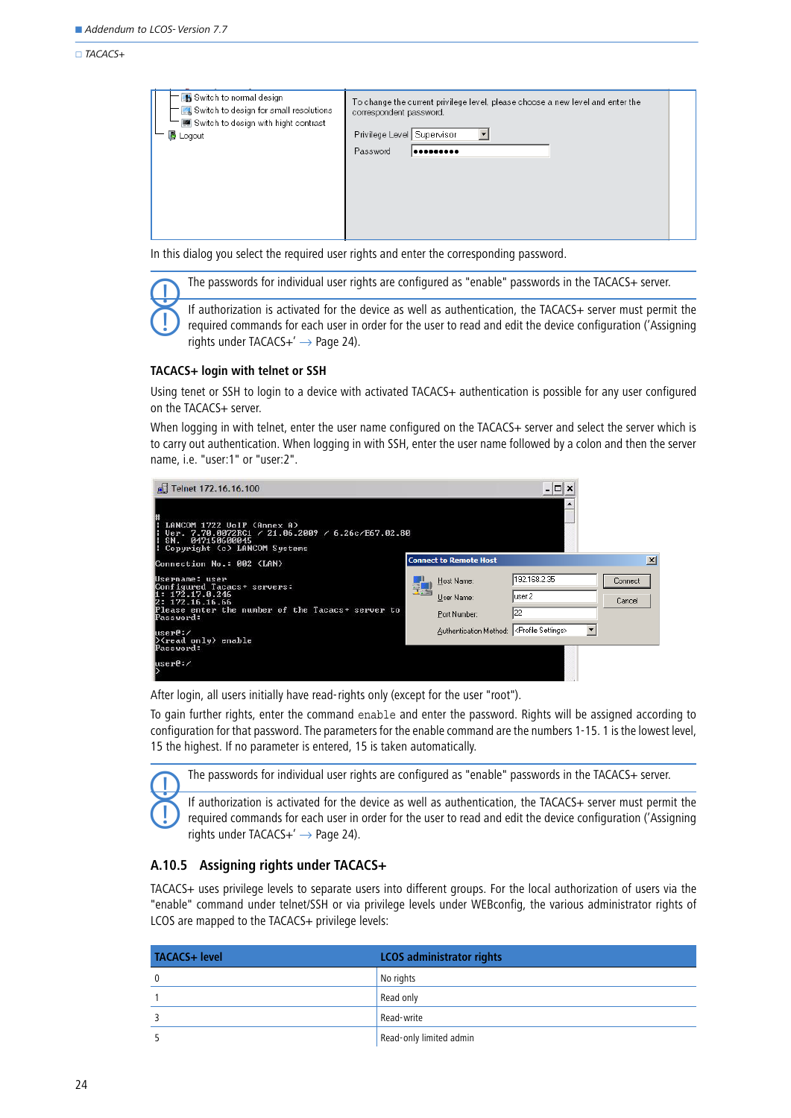#### $TACACS+$

In this dialog you select the required user rights and enter the corresponding password.

The passwords for individual user rights are configured as "enable" passwords in the TACACS+ server.<br>If authorization is activated for the device as well as authentication, the TACACS+ server must permit the If authorization is activated for the device as well as authentication, the TACACS+ server must permit the required commands for each user in order for the user to read and edit the device configuration [\('Assigning](#page-23-0) rights under TACACS $+' \rightarrow$  Page 24).

### **TACACS+ login with telnet or SSH**

Using tenet or SSH to login to a device with activated TACACS+ authentication is possible for any user configured on the TACACS+ server.

When logging in with telnet, enter the user name configured on the TACACS+ server and select the server which is to carry out authentication. When logging in with SSH, enter the user name followed by a colon and then the server name, i.e. "user:1" or "user:2".

| Telnet 172.16.16.100<br>LANCOM 1722 UoIP (Annex A)<br>Uer. 7.70.0072RC1 / 21.06.2009 / 6.26c/E67.02.80<br>SN.<br>047150600045<br>Copyright (c) LANCOM Systems |                               | - 10                            |         |                 |
|---------------------------------------------------------------------------------------------------------------------------------------------------------------|-------------------------------|---------------------------------|---------|-----------------|
| Connection No.: 002 (LAN)                                                                                                                                     | <b>Connect to Remote Host</b> |                                 |         | $\vert x \vert$ |
| Username: user<br>Configured Tacacs+ servers:                                                                                                                 | Host Name:                    | 192.168.2.35                    | Connect |                 |
| 1: 172.17.0.246<br>2: 172.16.16.66                                                                                                                            | User Name:                    | user:2                          | Cancel  |                 |
| Please enter the number of the Tacacs+ server to<br>Password:                                                                                                 | Port Number:                  | 22                              |         |                 |
| luser@:/<br>$\Diamond$ read only) enable                                                                                                                      | Authentication Method:        | <profile settings=""></profile> |         |                 |
| Password:                                                                                                                                                     |                               |                                 |         |                 |
| luser@:/                                                                                                                                                      |                               |                                 |         |                 |

After login, all users initially have read-rights only (except for the user "root").

To gain further rights, enter the command enable and enter the password. Rights will be assigned according to configuration for that password. The parameters for the enable command are the numbers 1-15. 1 is the lowest level, 15 the highest. If no parameter is entered, 15 is taken automatically.

The passwords for individual user rights are configured as "enable" passwords in the TACACS+ server.

 If authorization is activated for the device as well as authentication, the TACACS+ server must permit the required commands for each user in order for the user to read and edit the device configuration [\('Assigning](#page-23-0) rights under TACACS+ $' \rightarrow$  Page 24).

### <span id="page-23-0"></span>**A.10.5 Assigning rights under TACACS+**

TACACS+ uses privilege levels to separate users into different groups. For the local authorization of users via the "enable" command under telnet/SSH or via privilege levels under WEBconfig, the various administrator rights of LCOS are mapped to the TACACS+ privilege levels:

| <b>TACACS+ level</b> | <b>LCOS</b> administrator rights |
|----------------------|----------------------------------|
| $\mathbf{0}$         | No rights                        |
|                      | Read only                        |
|                      | Read-write                       |
|                      | Read-only limited admin          |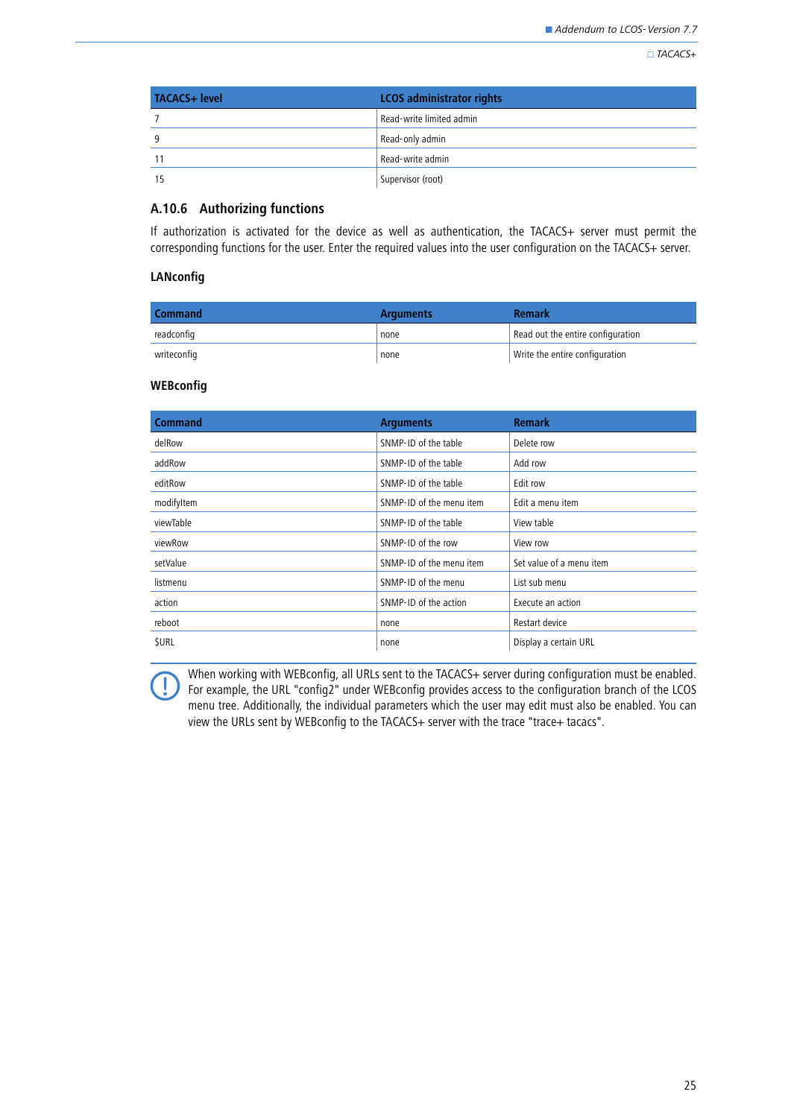$\Box$ TACACS+

| <b>TACACS+ level</b> | <b>LCOS</b> administrator rights |
|----------------------|----------------------------------|
|                      | Read-write limited admin         |
| 9                    | Read-only admin                  |
| 11                   | Read-write admin                 |
| 15                   | Supervisor (root)                |

## **A.10.6 Authorizing functions**

If authorization is activated for the device as well as authentication, the TACACS+ server must permit the corresponding functions for the user. Enter the required values into the user configuration on the TACACS+ server.

### **LANconfig**

| <b>Command</b> | <b>Arguments</b> | <b>Remark</b>                     |
|----------------|------------------|-----------------------------------|
| readconfig     | none             | Read out the entire configuration |
| writeconfig    | none             | Write the entire configuration    |

## **WEBconfig**

| <b>Command</b> | <b>Arguments</b>         | <b>Remark</b>            |
|----------------|--------------------------|--------------------------|
| delRow         | SNMP-ID of the table     | Delete row               |
| addRow         | SNMP-ID of the table     | Add row                  |
| editRow        | SNMP-ID of the table     | Edit row                 |
| modifyltem     | SNMP-ID of the menu item | Edit a menu item         |
| viewTable      | SNMP-ID of the table     | View table               |
| viewRow        | SNMP-ID of the row       | View row                 |
| setValue       | SNMP-ID of the menu item | Set value of a menu item |
| listmenu       | SNMP-ID of the menu      | List sub menu            |
| action         | SNMP-ID of the action    | Execute an action        |
| reboot         | none                     | Restart device           |
| <b>SURL</b>    | none                     | Display a certain URL    |

When working with WEBconfig, all URLs sent to the TACACS+ server during configuration must be enabled.<br>For example, the URL "config2" under WEBconfig provides access to the configuration branch of the LCOS<br>measurement of t menu tree. Additionally, the individual parameters which the user may edit must also be enabled. You can view the URLs sent by WEBconfig to the TACACS+ server with the trace "trace+ tacacs".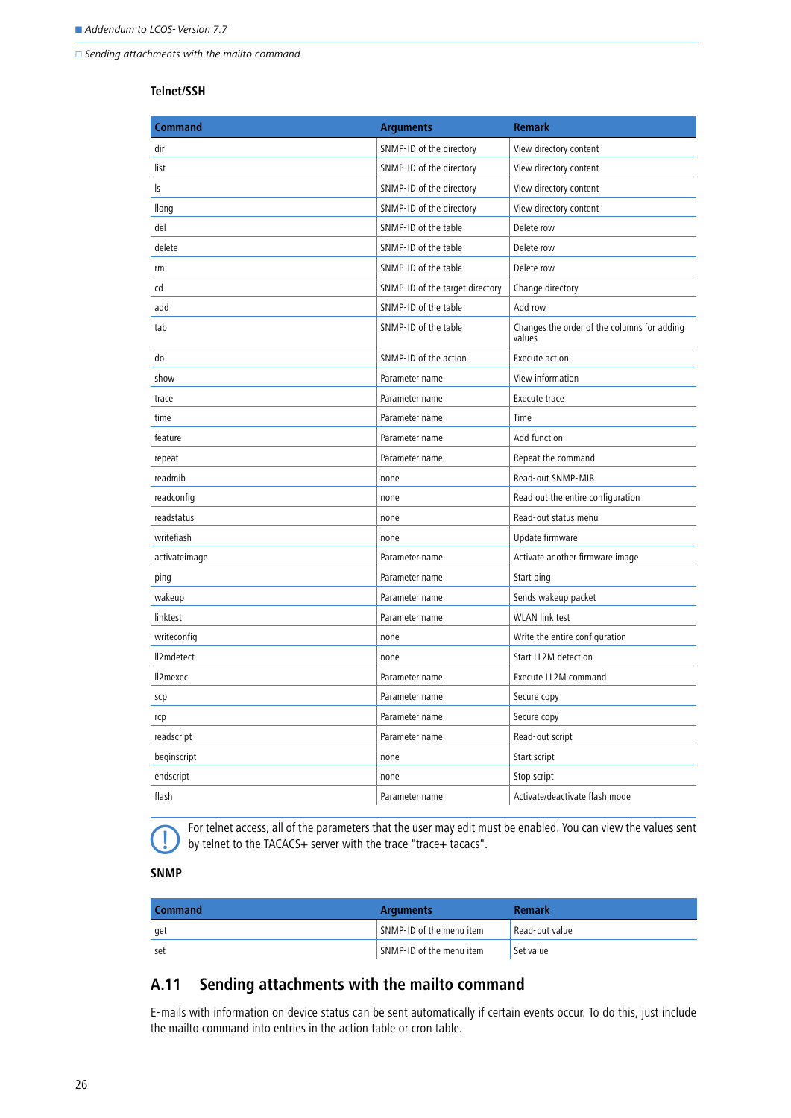$\Box$  Sending attachments with the mailto command

### **Telnet/SSH**

| <b>Command</b> | <b>Arguments</b>                | <b>Remark</b>                                         |
|----------------|---------------------------------|-------------------------------------------------------|
| dir            | SNMP-ID of the directory        | View directory content                                |
| list           | SNMP-ID of the directory        | View directory content                                |
| ls             | SNMP-ID of the directory        | View directory content                                |
| llong          | SNMP-ID of the directory        | View directory content                                |
| del            | SNMP-ID of the table            | Delete row                                            |
| delete         | SNMP-ID of the table            | Delete row                                            |
| rm             | SNMP-ID of the table            | Delete row                                            |
| cd             | SNMP-ID of the target directory | Change directory                                      |
| add            | SNMP-ID of the table            | Add row                                               |
| tab            | SNMP-ID of the table            | Changes the order of the columns for adding<br>values |
| do             | SNMP-ID of the action           | Execute action                                        |
| show           | Parameter name                  | View information                                      |
| trace          | Parameter name                  | Execute trace                                         |
| time           | Parameter name                  | Time                                                  |
| feature        | Parameter name                  | Add function                                          |
| repeat         | Parameter name                  | Repeat the command                                    |
| readmib        | none                            | Read-out SNMP-MIB                                     |
| readconfig     | none                            | Read out the entire configuration                     |
| readstatus     | none                            | Read-out status menu                                  |
| writefiash     | none                            | Update firmware                                       |
| activateimage  | Parameter name                  | Activate another firmware image                       |
| ping           | Parameter name                  | Start ping                                            |
| wakeup         | Parameter name                  | Sends wakeup packet                                   |
| linktest       | Parameter name                  | <b>WLAN</b> link test                                 |
| writeconfig    | none                            | Write the entire configuration                        |
| Il2mdetect     | none                            | Start LL2M detection                                  |
| Il2mexec       | Parameter name                  | Execute LL2M command                                  |
| scp            | Parameter name                  | Secure copy                                           |
| rcp            | Parameter name                  | Secure copy                                           |
| readscript     | Parameter name                  | Read-out script                                       |
| beginscript    | none                            | Start script                                          |
| endscript      | none                            | Stop script                                           |
| flash          | Parameter name                  | Activate/deactivate flash mode                        |

For telnet access, all of the parameters that the user may edit must be enabled. You can view the values sent<br>by telnet to the TACACS+ server with the trace "trace+ tacacs". by telnet to the TACACS+ server with the trace "trace+ tacacs".

### **SNMP**

| <b>Command</b> | <b>Arguments</b>         | <b>Remark</b>  |
|----------------|--------------------------|----------------|
| get            | SNMP-ID of the menu item | Read-out value |
| set            | SNMP-ID of the menu item | Set value      |

# <span id="page-25-0"></span>**A.11 Sending attachments with the mailto command**

E-mails with information on device status can be sent automatically if certain events occur. To do this, just include the mailto command into entries in the action table or cron table.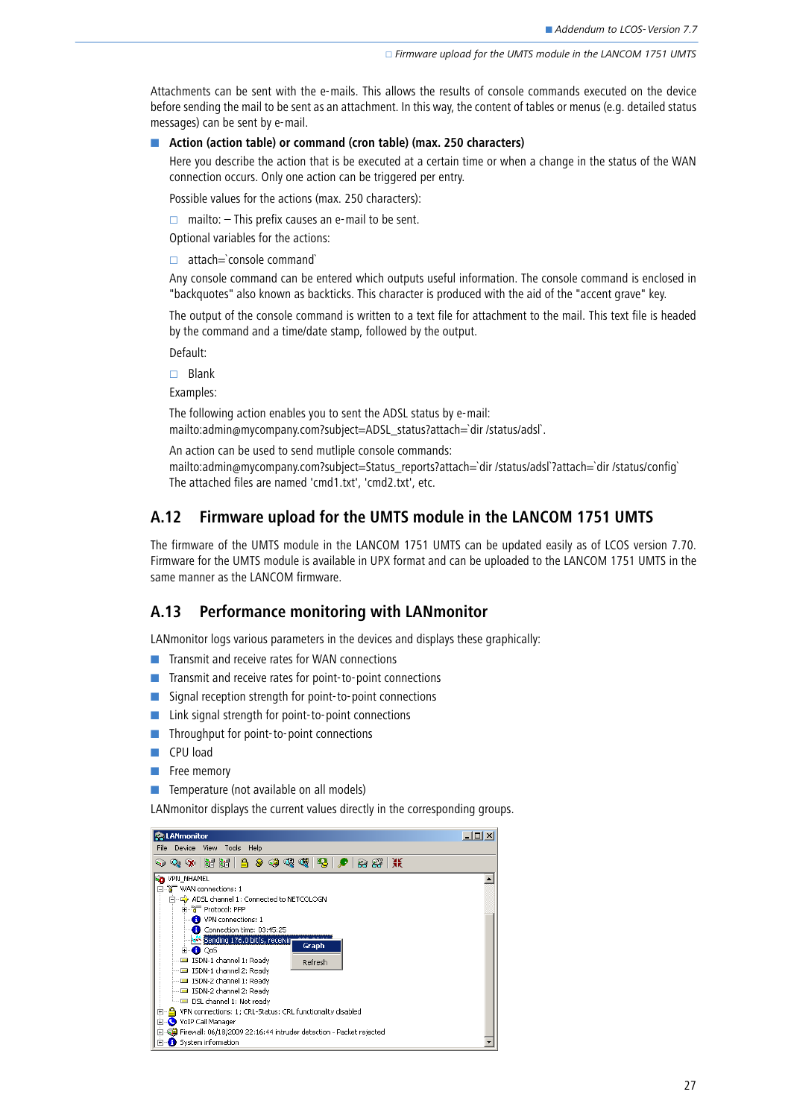Attachments can be sent with the e-mails. This allows the results of console commands executed on the device before sending the mail to be sent as an attachment. In this way, the content of tables or menus (e.g. detailed status messages) can be sent by e-mail.

#### ■ Action (action table) or command (cron table) (max. 250 characters)

Here you describe the action that is be executed at a certain time or when a change in the status of the WAN connection occurs. Only one action can be triggered per entry.

Possible values for the actions (max. 250 characters):

 $\Box$  mailto:  $\Box$  This prefix causes an e-mail to be sent.

Optional variables for the actions:

 $\Box$  attach=`console command`

Any console command can be entered which outputs useful information. The console command is enclosed in "backquotes" also known as backticks. This character is produced with the aid of the "accent grave" key.

The output of the console command is written to a text file for attachment to the mail. This text file is headed by the command and a time/date stamp, followed by the output.

Default:

 $\Box$  Blank

Examples:

The following action enables you to sent the ADSL status by e-mail: mailto:admin@mycompany.com?subject=ADSL\_status?attach=`dir /status/adsl`.

An action can be used to send mutliple console commands:

mailto:admin@mycompany.com?subject=Status\_reports?attach=`dir /status/adsl`?attach=`dir /status/config` The attached files are named 'cmd1.txt', 'cmd2.txt', etc.

## <span id="page-26-0"></span>**A.12 Firmware upload for the UMTS module in the LANCOM 1751 UMTS**

The firmware of the UMTS module in the LANCOM 1751 UMTS can be updated easily as of LCOS version 7.70. Firmware for the UMTS module is available in UPX format and can be uploaded to the LANCOM 1751 UMTS in the same manner as the LANCOM firmware.

### <span id="page-26-1"></span>**A.13 Performance monitoring with LANmonitor**

LANmonitor logs various parameters in the devices and displays these graphically:

- **The Transmit and receive rates for WAN connections**
- **The Transmit and receive rates for point-to-point connections**
- -Signal reception strength for point-to-point connections
- -Link signal strength for point-to-point connections
- -Throughput for point-to-point connections
- **EXECPU** load
- -Free memory

**EXTERGEDE:** Temperature (not available on all models)

LANmonitor displays the current values directly in the corresponding groups.

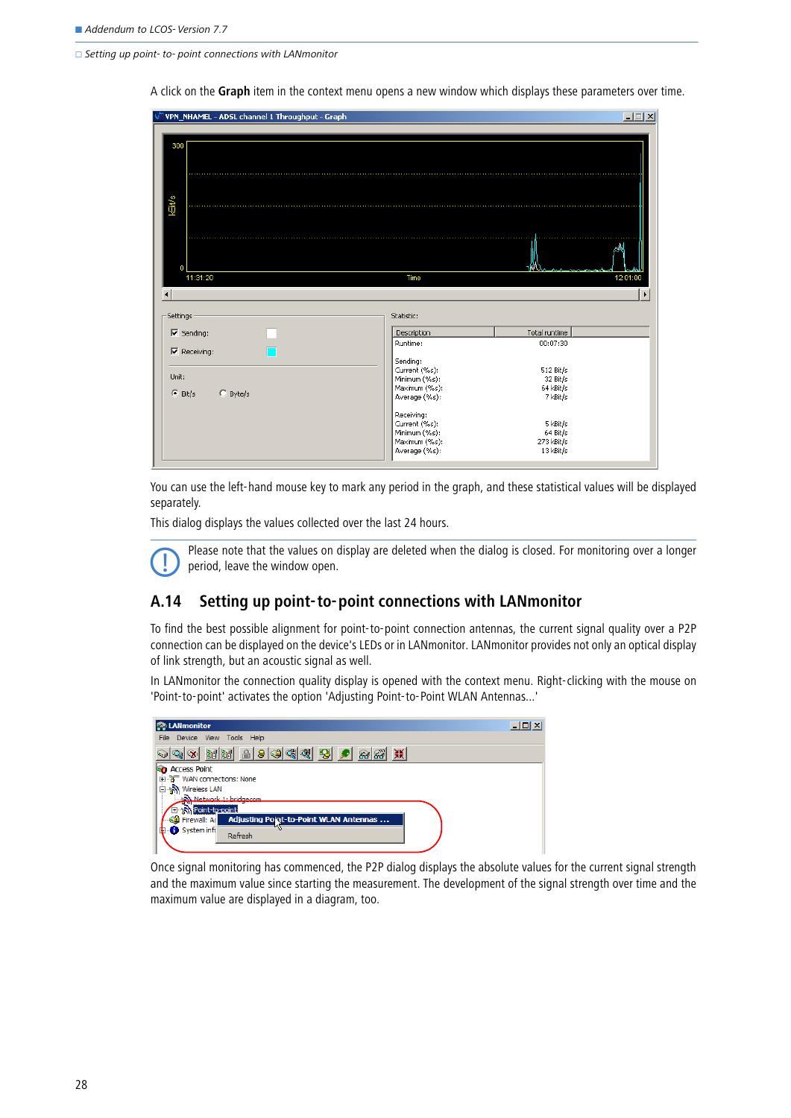$\Box$  Setting up point- to- point connections with LANmonitor

VPN\_NHAMEL - ADSL channel 1 Throughput - Graph  $| \square | \times |$ Ě 11:31:20 Time 12:01  $\overline{4}$ Settinas Statistic:  $\overline{\triangledown}$  Sending: Description Total runtime  $00:07:30$ Runtime:  $\nabla$  Receiving: Sending:<br>Current (%s): 512 Bit/s Unit:  $32 \frac{\text{Bi}}{\text{Bi}}$ Minimum (%s):<br>Maximum (%s): 64 kBit/s  $\odot$  Bit/s  $C$  Byte/s Average (%s): 7 kBit/s Receiving: Current (%s):<br>Minimum (%s): 5 kBit/s  $64$  Bit/s Maximum (%s): 273 kBit/s Average (%s): 13 kBit/s

A click on the **Graph** item in the context menu opens a new window which displays these parameters over time.

You can use the left-hand mouse key to mark any period in the graph, and these statistical values will be displayed separately.

This dialog displays the values collected over the last 24 hours.

 Please note that the values on display are deleted when the dialog is closed. For monitoring over a longer period, leave the window open.

### <span id="page-27-0"></span>**A.14 Setting up point-to-point connections with LANmonitor**

To find the best possible alignment for point-to-point connection antennas, the current signal quality over a P2P connection can be displayed on the device's LEDs or in LANmonitor. LANmonitor provides not only an optical display of link strength, but an acoustic signal as well.

In LANmonitor the connection quality display is opened with the context menu. Right-clicking with the mouse on 'Point-to-point' activates the option 'Adjusting Point-to-Point WLAN Antennas...'

| <b>EQI</b> LANmonitor                                        | $   \times$ |
|--------------------------------------------------------------|-------------|
| Device View Tools Help<br>File                               |             |
| 西南中国西南<br>图<br><b>XK</b><br><u>රිම රිමි</u><br>$ Q_4  \gg  $ |             |
| <b>Access Point</b>                                          |             |
| <b>ീ</b> WAN connections: None<br>中                          |             |
| <b>%</b> Wireless LAN                                        |             |
| Set Network 1: bridgecom                                     |             |
| <b>Ellenary</b> Point-to-point                               |             |
| Adjusting Point-to-Point WLAN Antennas<br>S의 Firewall: Ad    |             |
| System info                                                  |             |
| Refresh                                                      |             |
|                                                              |             |
|                                                              |             |

Once signal monitoring has commenced, the P2P dialog displays the absolute values for the current signal strength and the maximum value since starting the measurement. The development of the signal strength over time and the maximum value are displayed in a diagram, too.